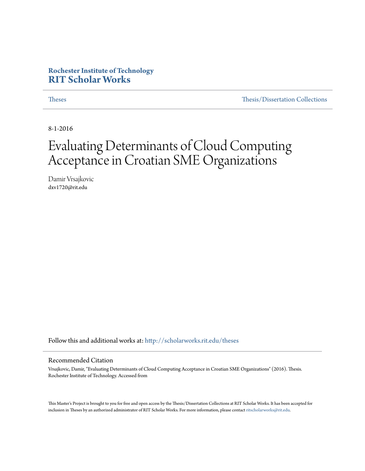#### **Rochester Institute of Technology [RIT Scholar Works](http://scholarworks.rit.edu?utm_source=scholarworks.rit.edu%2Ftheses%2F9375&utm_medium=PDF&utm_campaign=PDFCoverPages)**

[Theses](http://scholarworks.rit.edu/theses?utm_source=scholarworks.rit.edu%2Ftheses%2F9375&utm_medium=PDF&utm_campaign=PDFCoverPages) [Thesis/Dissertation Collections](http://scholarworks.rit.edu/etd_collections?utm_source=scholarworks.rit.edu%2Ftheses%2F9375&utm_medium=PDF&utm_campaign=PDFCoverPages)

8-1-2016

## Evaluating Determinants of Cloud Computing Acceptance in Croatian SME Organizations

Damir Vrsajkovic dxv1720@rit.edu

Follow this and additional works at: [http://scholarworks.rit.edu/theses](http://scholarworks.rit.edu/theses?utm_source=scholarworks.rit.edu%2Ftheses%2F9375&utm_medium=PDF&utm_campaign=PDFCoverPages)

#### Recommended Citation

Vrsajkovic, Damir, "Evaluating Determinants of Cloud Computing Acceptance in Croatian SME Organizations" (2016). Thesis. Rochester Institute of Technology. Accessed from

This Master's Project is brought to you for free and open access by the Thesis/Dissertation Collections at RIT Scholar Works. It has been accepted for inclusion in Theses by an authorized administrator of RIT Scholar Works. For more information, please contact [ritscholarworks@rit.edu](mailto:ritscholarworks@rit.edu).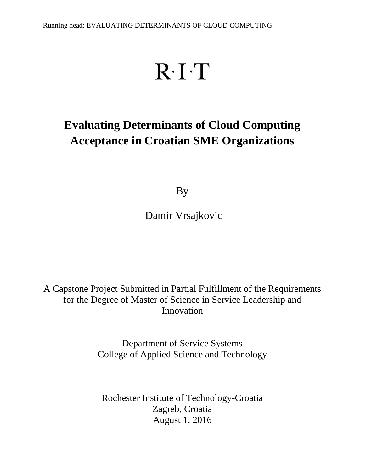# $R \cdot I \cdot T$

## **Evaluating Determinants of Cloud Computing Acceptance in Croatian SME Organizations**

By

Damir Vrsajkovic

A Capstone Project Submitted in Partial Fulfillment of the Requirements for the Degree of Master of Science in Service Leadership and Innovation

> Department of Service Systems College of Applied Science and Technology

Rochester Institute of Technology-Croatia Zagreb, Croatia August 1, 2016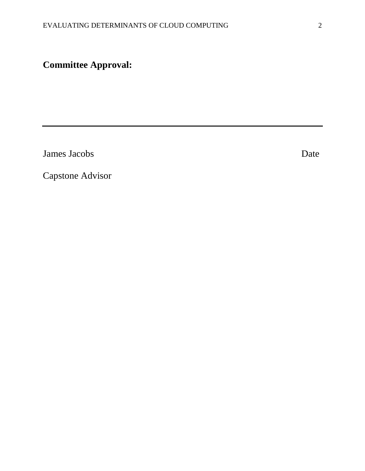## **Committee Approval:**

**James Jacobs** Date

Capstone Advisor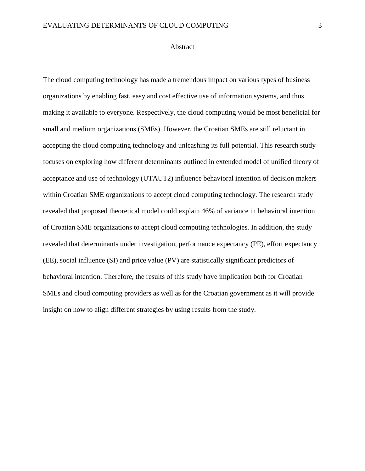#### Abstract

The cloud computing technology has made a tremendous impact on various types of business organizations by enabling fast, easy and cost effective use of information systems, and thus making it available to everyone. Respectively, the cloud computing would be most beneficial for small and medium organizations (SMEs). However, the Croatian SMEs are still reluctant in accepting the cloud computing technology and unleashing its full potential. This research study focuses on exploring how different determinants outlined in extended model of unified theory of acceptance and use of technology (UTAUT2) influence behavioral intention of decision makers within Croatian SME organizations to accept cloud computing technology. The research study revealed that proposed theoretical model could explain 46% of variance in behavioral intention of Croatian SME organizations to accept cloud computing technologies. In addition, the study revealed that determinants under investigation, performance expectancy (PE), effort expectancy (EE), social influence (SI) and price value (PV) are statistically significant predictors of behavioral intention. Therefore, the results of this study have implication both for Croatian SMEs and cloud computing providers as well as for the Croatian government as it will provide insight on how to align different strategies by using results from the study.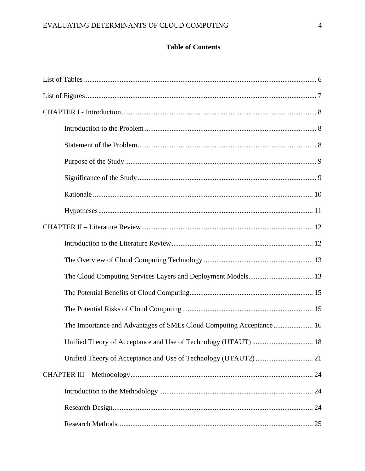#### **Table of Contents**

| The Cloud Computing Services Layers and Deployment Models 13         |  |
|----------------------------------------------------------------------|--|
|                                                                      |  |
|                                                                      |  |
| The Importance and Advantages of SMEs Cloud Computing Acceptance  16 |  |
|                                                                      |  |
|                                                                      |  |
|                                                                      |  |
|                                                                      |  |
|                                                                      |  |
|                                                                      |  |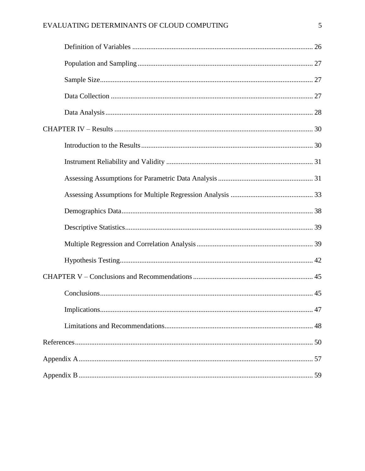#### EVALUATING DETERMINANTS OF CLOUD COMPUTING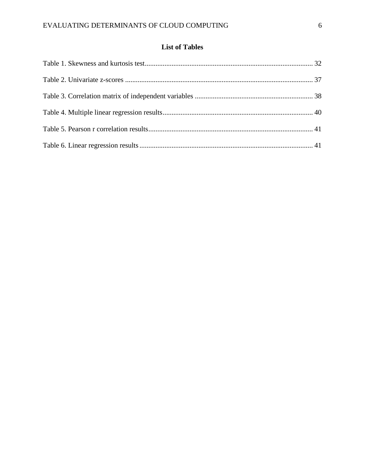#### **List of Tables**

<span id="page-6-0"></span>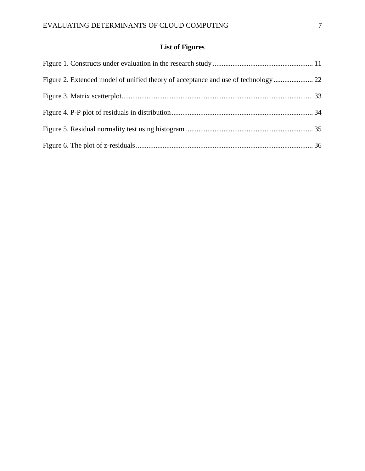### **List of Figures**

<span id="page-7-0"></span>

| Figure 2. Extended model of unified theory of acceptance and use of technology 22 |  |
|-----------------------------------------------------------------------------------|--|
|                                                                                   |  |
|                                                                                   |  |
|                                                                                   |  |
|                                                                                   |  |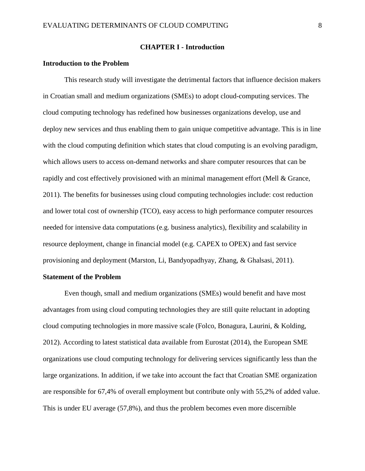#### **CHAPTER I - Introduction**

#### <span id="page-8-1"></span><span id="page-8-0"></span>**Introduction to the Problem**

This research study will investigate the detrimental factors that influence decision makers in Croatian small and medium organizations (SMEs) to adopt cloud-computing services. The cloud computing technology has redefined how businesses organizations develop, use and deploy new services and thus enabling them to gain unique competitive advantage. This is in line with the cloud computing definition which states that cloud computing is an evolving paradigm, which allows users to access on-demand networks and share computer resources that can be rapidly and cost effectively provisioned with an minimal management effort (Mell & Grance, 2011). The benefits for businesses using cloud computing technologies include: cost reduction and lower total cost of ownership (TCO), easy access to high performance computer resources needed for intensive data computations (e.g. business analytics), flexibility and scalability in resource deployment, change in financial model (e.g. CAPEX to OPEX) and fast service provisioning and deployment (Marston, Li, Bandyopadhyay, Zhang, & Ghalsasi, 2011).

#### <span id="page-8-2"></span>**Statement of the Problem**

Even though, small and medium organizations (SMEs) would benefit and have most advantages from using cloud computing technologies they are still quite reluctant in adopting cloud computing technologies in more massive scale (Folco, Bonagura, Laurini, & Kolding, 2012). According to latest statistical data available from Eurostat (2014), the European SME organizations use cloud computing technology for delivering services significantly less than the large organizations. In addition, if we take into account the fact that Croatian SME organization are responsible for 67,4% of overall employment but contribute only with 55,2% of added value. This is under EU average (57,8%), and thus the problem becomes even more discernible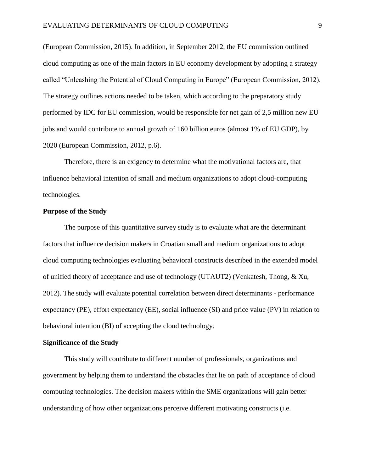(European Commission, 2015). In addition, in September 2012, the EU commission outlined cloud computing as one of the main factors in EU economy development by adopting a strategy called "Unleashing the Potential of Cloud Computing in Europe" (European Commission, 2012). The strategy outlines actions needed to be taken, which according to the preparatory study performed by IDC for EU commission, would be responsible for net gain of 2,5 million new EU jobs and would contribute to annual growth of 160 billion euros (almost 1% of EU GDP), by 2020 (European Commission, 2012, p.6).

Therefore, there is an exigency to determine what the motivational factors are, that influence behavioral intention of small and medium organizations to adopt cloud-computing technologies.

#### <span id="page-9-0"></span>**Purpose of the Study**

The purpose of this quantitative survey study is to evaluate what are the determinant factors that influence decision makers in Croatian small and medium organizations to adopt cloud computing technologies evaluating behavioral constructs described in the extended model of unified theory of acceptance and use of technology (UTAUT2) (Venkatesh, Thong, & Xu, 2012). The study will evaluate potential correlation between direct determinants - performance expectancy (PE), effort expectancy (EE), social influence (SI) and price value (PV) in relation to behavioral intention (BI) of accepting the cloud technology.

#### <span id="page-9-1"></span>**Significance of the Study**

This study will contribute to different number of professionals, organizations and government by helping them to understand the obstacles that lie on path of acceptance of cloud computing technologies. The decision makers within the SME organizations will gain better understanding of how other organizations perceive different motivating constructs (i.e.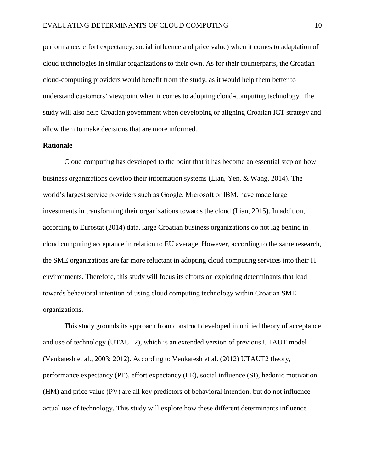performance, effort expectancy, social influence and price value) when it comes to adaptation of cloud technologies in similar organizations to their own. As for their counterparts, the Croatian cloud-computing providers would benefit from the study, as it would help them better to understand customers' viewpoint when it comes to adopting cloud-computing technology. The study will also help Croatian government when developing or aligning Croatian ICT strategy and allow them to make decisions that are more informed.

#### <span id="page-10-0"></span>**Rationale**

Cloud computing has developed to the point that it has become an essential step on how business organizations develop their information systems (Lian, Yen, & Wang, 2014). The world's largest service providers such as Google, Microsoft or IBM, have made large investments in transforming their organizations towards the cloud (Lian, 2015). In addition, according to Eurostat (2014) data, large Croatian business organizations do not lag behind in cloud computing acceptance in relation to EU average. However, according to the same research, the SME organizations are far more reluctant in adopting cloud computing services into their IT environments. Therefore, this study will focus its efforts on exploring determinants that lead towards behavioral intention of using cloud computing technology within Croatian SME organizations.

This study grounds its approach from construct developed in unified theory of acceptance and use of technology (UTAUT2), which is an extended version of previous UTAUT model (Venkatesh et al., 2003; 2012). According to Venkatesh et al. (2012) UTAUT2 theory, performance expectancy (PE), effort expectancy (EE), social influence (SI), hedonic motivation (HM) and price value (PV) are all key predictors of behavioral intention, but do not influence actual use of technology. This study will explore how these different determinants influence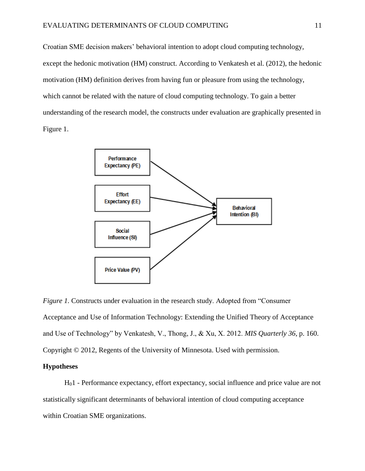Croatian SME decision makers' behavioral intention to adopt cloud computing technology, except the hedonic motivation (HM) construct. According to Venkatesh et al. (2012), the hedonic motivation (HM) definition derives from having fun or pleasure from using the technology, which cannot be related with the nature of cloud computing technology. To gain a better understanding of the research model, the constructs under evaluation are graphically presented in Figure 1.



<span id="page-11-1"></span>*Figure 1.* Constructs under evaluation in the research study. Adopted from "Consumer Acceptance and Use of Information Technology: Extending the Unified Theory of Acceptance and Use of Technology" by Venkatesh, V., Thong, J., & Xu, X. 2012. *MIS Quarterly 36*, p. 160. Copyright © 2012, Regents of the University of Minnesota. Used with permission.

#### <span id="page-11-0"></span>**Hypotheses**

H01 - Performance expectancy, effort expectancy, social influence and price value are not statistically significant determinants of behavioral intention of cloud computing acceptance within Croatian SME organizations.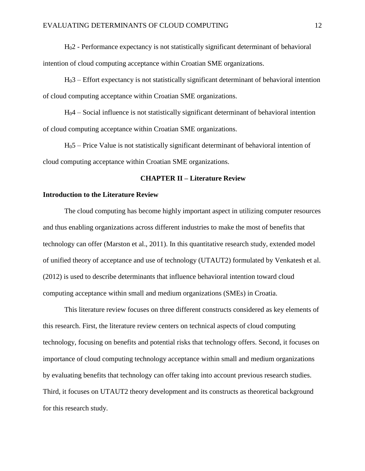H02 - Performance expectancy is not statistically significant determinant of behavioral intention of cloud computing acceptance within Croatian SME organizations.

H03 – Effort expectancy is not statistically significant determinant of behavioral intention of cloud computing acceptance within Croatian SME organizations.

 $H<sub>0</sub>4$  – Social influence is not statistically significant determinant of behavioral intention of cloud computing acceptance within Croatian SME organizations.

H05 – Price Value is not statistically significant determinant of behavioral intention of cloud computing acceptance within Croatian SME organizations.

#### **CHAPTER II – Literature Review**

#### <span id="page-12-1"></span><span id="page-12-0"></span>**Introduction to the Literature Review**

The cloud computing has become highly important aspect in utilizing computer resources and thus enabling organizations across different industries to make the most of benefits that technology can offer (Marston et al., 2011). In this quantitative research study, extended model of unified theory of acceptance and use of technology (UTAUT2) formulated by Venkatesh et al. (2012) is used to describe determinants that influence behavioral intention toward cloud computing acceptance within small and medium organizations (SMEs) in Croatia.

This literature review focuses on three different constructs considered as key elements of this research. First, the literature review centers on technical aspects of cloud computing technology, focusing on benefits and potential risks that technology offers. Second, it focuses on importance of cloud computing technology acceptance within small and medium organizations by evaluating benefits that technology can offer taking into account previous research studies. Third, it focuses on UTAUT2 theory development and its constructs as theoretical background for this research study.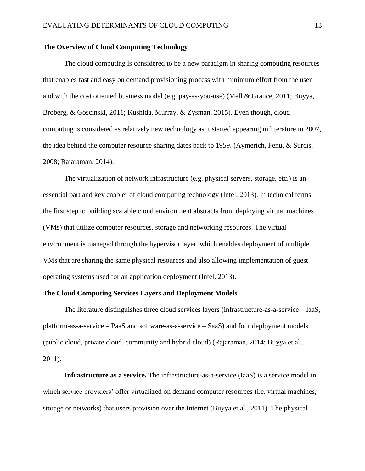#### <span id="page-13-0"></span>**The Overview of Cloud Computing Technology**

The cloud computing is considered to be a new paradigm in sharing computing resources that enables fast and easy on demand provisioning process with minimum effort from the user and with the cost oriented business model (e.g. pay-as-you-use) (Mell & Grance, 2011; Buyya, Broberg, & Goscinski, 2011; Kushida, Murray, & Zysman, 2015). Even though, cloud computing is considered as relatively new technology as it started appearing in literature in 2007, the idea behind the computer resource sharing dates back to 1959. (Aymerich, Fenu, & Surcis, 2008; Rajaraman, 2014).

The virtualization of network infrastructure (e.g. physical servers, storage, etc.) is an essential part and key enabler of cloud computing technology (Intel, 2013). In technical terms, the first step to building scalable cloud environment abstracts from deploying virtual machines (VMs) that utilize computer resources, storage and networking resources. The virtual environment is managed through the hypervisor layer, which enables deployment of multiple VMs that are sharing the same physical resources and also allowing implementation of guest operating systems used for an application deployment (Intel, 2013).

#### <span id="page-13-1"></span>**The Cloud Computing Services Layers and Deployment Models**

The literature distinguishes three cloud services layers (infrastructure-as-a-service – IaaS, platform-as-a-service – PaaS and software-as-a-service – SaaS) and four deployment models (public cloud, private cloud, community and hybrid cloud) (Rajaraman, 2014; Buyya et al., 2011).

**Infrastructure as a service.** The infrastructure-as-a-service (IaaS) is a service model in which service providers' offer virtualized on demand computer resources (i.e. virtual machines, storage or networks) that users provision over the Internet (Buyya et al., 2011). The physical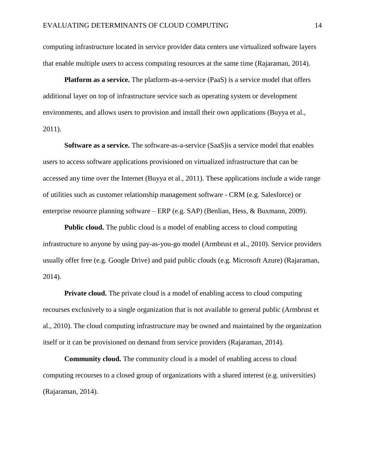computing infrastructure located in service provider data centers use virtualized software layers that enable multiple users to access computing resources at the same time (Rajaraman, 2014).

**Platform as a service.** The platform-as-a-service (PaaS) is a service model that offers additional layer on top of infrastructure service such as operating system or development environments, and allows users to provision and install their own applications (Buyya et al., 2011).

**Software as a service.** The software-as-a-service (SaaS)is a service model that enables users to access software applications provisioned on virtualized infrastructure that can be accessed any time over the Internet (Buyya et al., 2011). These applications include a wide range of utilities such as customer relationship management software - CRM (e.g. Salesforce) or enterprise resource planning software – ERP (e.g. SAP) (Benlian, Hess, & Buxmann, 2009).

**Public cloud.** The public cloud is a model of enabling access to cloud computing infrastructure to anyone by using pay-as-you-go model (Armbrust et al., 2010). Service providers usually offer free (e.g. Google Drive) and paid public clouds (e.g. Microsoft Azure) (Rajaraman, 2014).

**Private cloud.** The private cloud is a model of enabling access to cloud computing recourses exclusively to a single organization that is not available to general public (Armbrust et al., 2010). The cloud computing infrastructure may be owned and maintained by the organization itself or it can be provisioned on demand from service providers (Rajaraman, 2014).

**Community cloud.** The community cloud is a model of enabling access to cloud computing recourses to a closed group of organizations with a shared interest (e.g. universities) (Rajaraman, 2014).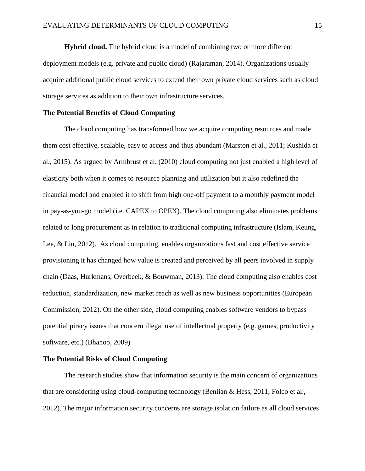**Hybrid cloud.** The hybrid cloud is a model of combining two or more different deployment models (e.g. private and public cloud) (Rajaraman, 2014). Organizations usually acquire additional public cloud services to extend their own private cloud services such as cloud storage services as addition to their own infrastructure services.

#### <span id="page-15-0"></span>**The Potential Benefits of Cloud Computing**

The cloud computing has transformed how we acquire computing resources and made them cost effective, scalable, easy to access and thus abundant (Marston et al., 2011; Kushida et al., 2015). As argued by Armbrust et al. (2010) cloud computing not just enabled a high level of elasticity both when it comes to resource planning and utilization but it also redefined the financial model and enabled it to shift from high one-off payment to a monthly payment model in pay-as-you-go model (i.e. CAPEX to OPEX). The cloud computing also eliminates problems related to long procurement as in relation to traditional computing infrastructure (Islam, Keung, Lee, & Liu, 2012). As cloud computing, enables organizations fast and cost effective service provisioning it has changed how value is created and perceived by all peers involved in supply chain (Daas, Hurkmans, Overbeek, & Bouwman, 2013). The cloud computing also enables cost reduction, standardization, new market reach as well as new business opportunities (European Commission, 2012). On the other side, cloud computing enables software vendors to bypass potential piracy issues that concern illegal use of intellectual property (e.g. games, productivity software, etc.) (Bhanoo, 2009)

#### <span id="page-15-1"></span>**The Potential Risks of Cloud Computing**

The research studies show that information security is the main concern of organizations that are considering using cloud-computing technology (Benlian & Hess, 2011; Folco et al., 2012). The major information security concerns are storage isolation failure as all cloud services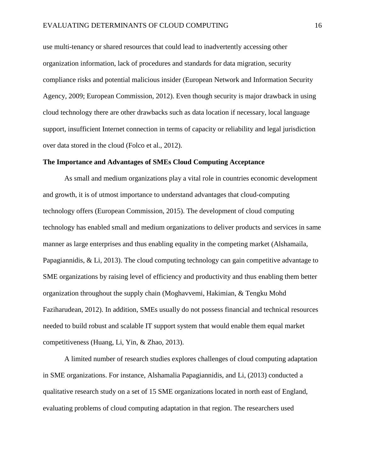use multi-tenancy or shared resources that could lead to inadvertently accessing other organization information, lack of procedures and standards for data migration, security compliance risks and potential malicious insider (European Network and Information Security Agency, 2009; European Commission, 2012). Even though security is major drawback in using cloud technology there are other drawbacks such as data location if necessary, local language support, insufficient Internet connection in terms of capacity or reliability and legal jurisdiction over data stored in the cloud (Folco et al., 2012).

#### <span id="page-16-0"></span>**The Importance and Advantages of SMEs Cloud Computing Acceptance**

As small and medium organizations play a vital role in countries economic development and growth, it is of utmost importance to understand advantages that cloud-computing technology offers (European Commission, 2015). The development of cloud computing technology has enabled small and medium organizations to deliver products and services in same manner as large enterprises and thus enabling equality in the competing market (Alshamaila, Papagiannidis, & Li, 2013). The cloud computing technology can gain competitive advantage to SME organizations by raising level of efficiency and productivity and thus enabling them better organization throughout the supply chain (Moghavvemi, Hakimian, & Tengku Mohd Faziharudean, 2012). In addition, SMEs usually do not possess financial and technical resources needed to build robust and scalable IT support system that would enable them equal market competitiveness (Huang, Li, Yin, & Zhao, 2013).

A limited number of research studies explores challenges of cloud computing adaptation in SME organizations. For instance, Alshamalia Papagiannidis, and Li, (2013) conducted a qualitative research study on a set of 15 SME organizations located in north east of England, evaluating problems of cloud computing adaptation in that region. The researchers used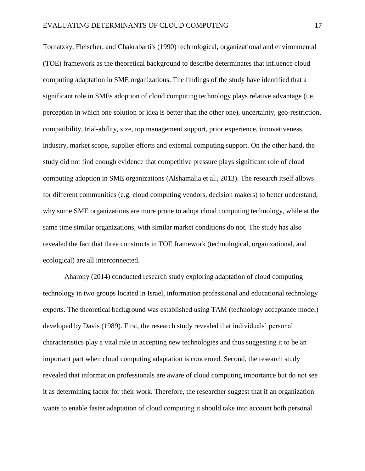Tornatzky, Fleischer, and Chakrabarti's (1990) technological, organizational and environmental (TOE) framework as the theoretical background to describe determinates that influence cloud computing adaptation in SME organizations. The findings of the study have identified that a significant role in SMEs adoption of cloud computing technology plays relative advantage (i.e. perception in which one solution or idea is better than the other one), uncertainty, geo-restriction, compatibility, trial-ability, size, top management support, prior experience, innovativeness, industry, market scope, supplier efforts and external computing support. On the other hand, the study did not find enough evidence that competitive pressure plays significant role of cloud computing adoption in SME organizations (Alshamalia et al., 2013). The research itself allows for different communities (e.g. cloud computing vendors, decision makers) to better understand, why some SME organizations are more prone to adopt cloud computing technology, while at the same time similar organizations, with similar market conditions do not. The study has also revealed the fact that three constructs in TOE framework (technological, organizational, and ecological) are all interconnected.

Aharony (2014) conducted research study exploring adaptation of cloud computing technology in two groups located in Israel, information professional and educational technology experts. The theoretical background was established using TAM (technology acceptance model) developed by Davis (1989). First, the research study revealed that individuals' personal characteristics play a vital role in accepting new technologies and thus suggesting it to be an important part when cloud computing adaptation is concerned. Second, the research study revealed that information professionals are aware of cloud computing importance but do not see it as determining factor for their work. Therefore, the researcher suggest that if an organization wants to enable faster adaptation of cloud computing it should take into account both personal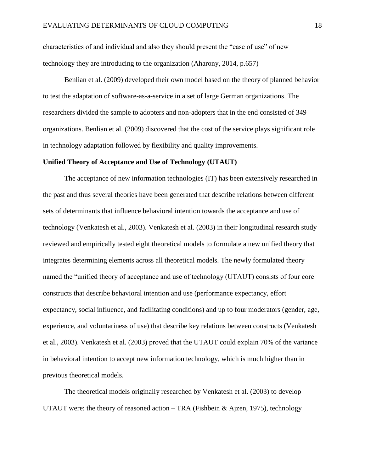characteristics of and individual and also they should present the "ease of use" of new technology they are introducing to the organization (Aharony, 2014, p.657)

Benlian et al. (2009) developed their own model based on the theory of planned behavior to test the adaptation of software-as-a-service in a set of large German organizations. The researchers divided the sample to adopters and non-adopters that in the end consisted of 349 organizations. Benlian et al. (2009) discovered that the cost of the service plays significant role in technology adaptation followed by flexibility and quality improvements.

#### <span id="page-18-0"></span>**Unified Theory of Acceptance and Use of Technology (UTAUT)**

The acceptance of new information technologies (IT) has been extensively researched in the past and thus several theories have been generated that describe relations between different sets of determinants that influence behavioral intention towards the acceptance and use of technology (Venkatesh et al., 2003). Venkatesh et al. (2003) in their longitudinal research study reviewed and empirically tested eight theoretical models to formulate a new unified theory that integrates determining elements across all theoretical models. The newly formulated theory named the "unified theory of acceptance and use of technology (UTAUT) consists of four core constructs that describe behavioral intention and use (performance expectancy, effort expectancy, social influence, and facilitating conditions) and up to four moderators (gender, age, experience, and voluntariness of use) that describe key relations between constructs (Venkatesh et al., 2003). Venkatesh et al. (2003) proved that the UTAUT could explain 70% of the variance in behavioral intention to accept new information technology, which is much higher than in previous theoretical models.

The theoretical models originally researched by Venkatesh et al. (2003) to develop UTAUT were: the theory of reasoned action  $-$  TRA (Fishbein & Ajzen, 1975), technology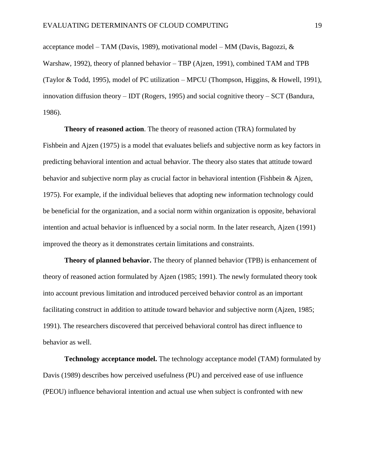acceptance model – TAM (Davis, 1989), motivational model – MM (Davis, Bagozzi,  $\&$ Warshaw, 1992), theory of planned behavior – TBP (Ajzen, 1991), combined TAM and TPB (Taylor & Todd, 1995), model of PC utilization – MPCU (Thompson, Higgins, & Howell, 1991), innovation diffusion theory – IDT (Rogers, 1995) and social cognitive theory – SCT (Bandura, 1986).

**Theory of reasoned action**. The theory of reasoned action (TRA) formulated by Fishbein and Ajzen (1975) is a model that evaluates beliefs and subjective norm as key factors in predicting behavioral intention and actual behavior. The theory also states that attitude toward behavior and subjective norm play as crucial factor in behavioral intention (Fishbein & Ajzen, 1975). For example, if the individual believes that adopting new information technology could be beneficial for the organization, and a social norm within organization is opposite, behavioral intention and actual behavior is influenced by a social norm. In the later research, Ajzen (1991) improved the theory as it demonstrates certain limitations and constraints.

**Theory of planned behavior.** The theory of planned behavior (TPB) is enhancement of theory of reasoned action formulated by Ajzen (1985; 1991). The newly formulated theory took into account previous limitation and introduced perceived behavior control as an important facilitating construct in addition to attitude toward behavior and subjective norm (Ajzen, 1985; 1991). The researchers discovered that perceived behavioral control has direct influence to behavior as well.

**Technology acceptance model.** The technology acceptance model (TAM) formulated by Davis (1989) describes how perceived usefulness (PU) and perceived ease of use influence (PEOU) influence behavioral intention and actual use when subject is confronted with new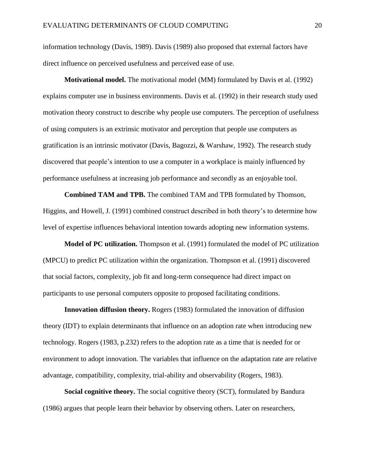information technology (Davis, 1989). Davis (1989) also proposed that external factors have direct influence on perceived usefulness and perceived ease of use.

**Motivational model.** The motivational model (MM) formulated by Davis et al. (1992) explains computer use in business environments. Davis et al. (1992) in their research study used motivation theory construct to describe why people use computers. The perception of usefulness of using computers is an extrinsic motivator and perception that people use computers as gratification is an intrinsic motivator (Davis, Bagozzi, & Warshaw, 1992). The research study discovered that people's intention to use a computer in a workplace is mainly influenced by performance usefulness at increasing job performance and secondly as an enjoyable tool.

**Combined TAM and TPB.** The combined TAM and TPB formulated by Thomson, Higgins, and Howell, J. (1991) combined construct described in both theory's to determine how level of expertise influences behavioral intention towards adopting new information systems.

**Model of PC utilization.** Thompson et al. (1991) formulated the model of PC utilization (MPCU) to predict PC utilization within the organization. Thompson et al. (1991) discovered that social factors, complexity, job fit and long-term consequence had direct impact on participants to use personal computers opposite to proposed facilitating conditions.

**Innovation diffusion theory.** Rogers (1983) formulated the innovation of diffusion theory (IDT) to explain determinants that influence on an adoption rate when introducing new technology. Rogers (1983, p.232) refers to the adoption rate as a time that is needed for or environment to adopt innovation. The variables that influence on the adaptation rate are relative advantage, compatibility, complexity, trial-ability and observability (Rogers, 1983).

**Social cognitive theory.** The social cognitive theory (SCT), formulated by Bandura (1986) argues that people learn their behavior by observing others. Later on researchers,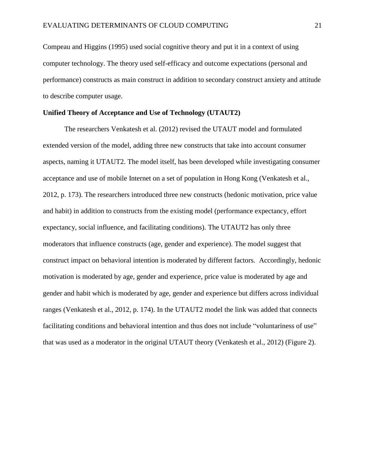Compeau and Higgins (1995) used social cognitive theory and put it in a context of using computer technology. The theory used self-efficacy and outcome expectations (personal and performance) constructs as main construct in addition to secondary construct anxiety and attitude to describe computer usage.

#### <span id="page-21-0"></span>**Unified Theory of Acceptance and Use of Technology (UTAUT2)**

The researchers Venkatesh et al. (2012) revised the UTAUT model and formulated extended version of the model, adding three new constructs that take into account consumer aspects, naming it UTAUT2. The model itself, has been developed while investigating consumer acceptance and use of mobile Internet on a set of population in Hong Kong (Venkatesh et al., 2012, p. 173). The researchers introduced three new constructs (hedonic motivation, price value and habit) in addition to constructs from the existing model (performance expectancy, effort expectancy, social influence, and facilitating conditions). The UTAUT2 has only three moderators that influence constructs (age, gender and experience). The model suggest that construct impact on behavioral intention is moderated by different factors. Accordingly, hedonic motivation is moderated by age, gender and experience, price value is moderated by age and gender and habit which is moderated by age, gender and experience but differs across individual ranges (Venkatesh et al., 2012, p. 174). In the UTAUT2 model the link was added that connects facilitating conditions and behavioral intention and thus does not include "voluntariness of use" that was used as a moderator in the original UTAUT theory (Venkatesh et al., 2012) (Figure 2).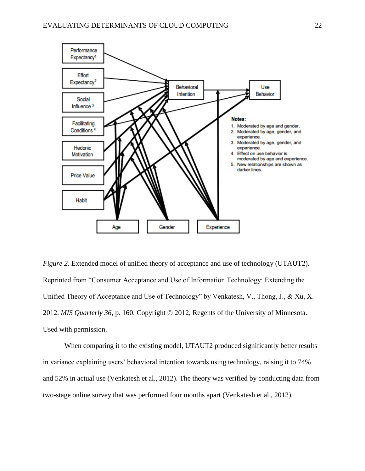

<span id="page-22-0"></span>*Figure 2.* Extended model of unified theory of acceptance and use of technology (UTAUT2). Reprinted from "Consumer Acceptance and Use of Information Technology: Extending the Unified Theory of Acceptance and Use of Technology" by Venkatesh, V., Thong, J., & Xu, X. 2012. *MIS Quarterly 36*, p. 160. Copyright © 2012, Regents of the University of Minnesota. Used with permission.

When comparing it to the existing model, UTAUT2 produced significantly better results in variance explaining users' behavioral intention towards using technology, raising it to 74% and 52% in actual use (Venkatesh et al., 2012). The theory was verified by conducting data from two-stage online survey that was performed four months apart (Venkatesh et al., 2012).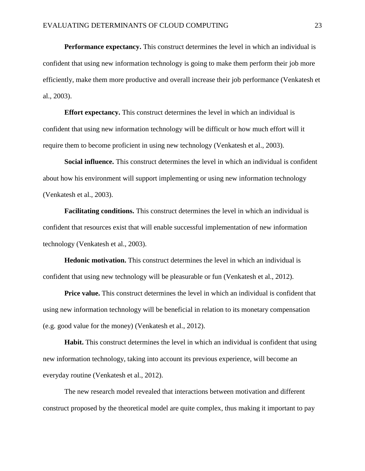**Performance expectancy.** This construct determines the level in which an individual is confident that using new information technology is going to make them perform their job more efficiently, make them more productive and overall increase their job performance (Venkatesh et al., 2003).

**Effort expectancy.** This construct determines the level in which an individual is confident that using new information technology will be difficult or how much effort will it require them to become proficient in using new technology (Venkatesh et al., 2003).

**Social influence.** This construct determines the level in which an individual is confident about how his environment will support implementing or using new information technology (Venkatesh et al., 2003).

**Facilitating conditions.** This construct determines the level in which an individual is confident that resources exist that will enable successful implementation of new information technology (Venkatesh et al., 2003).

**Hedonic motivation.** This construct determines the level in which an individual is confident that using new technology will be pleasurable or fun (Venkatesh et al., 2012).

**Price value.** This construct determines the level in which an individual is confident that using new information technology will be beneficial in relation to its monetary compensation (e.g. good value for the money) (Venkatesh et al., 2012).

**Habit.** This construct determines the level in which an individual is confident that using new information technology, taking into account its previous experience, will become an everyday routine (Venkatesh et al., 2012).

The new research model revealed that interactions between motivation and different construct proposed by the theoretical model are quite complex, thus making it important to pay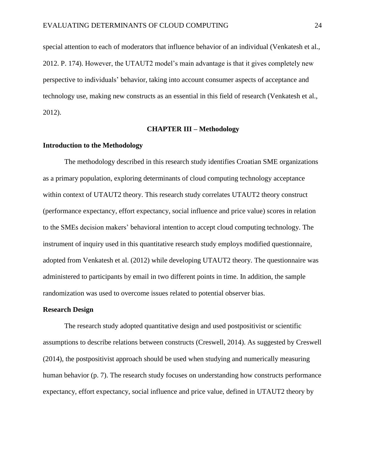special attention to each of moderators that influence behavior of an individual (Venkatesh et al., 2012. P. 174). However, the UTAUT2 model's main advantage is that it gives completely new perspective to individuals' behavior, taking into account consumer aspects of acceptance and technology use, making new constructs as an essential in this field of research (Venkatesh et al., 2012).

#### **CHAPTER III – Methodology**

#### <span id="page-24-1"></span><span id="page-24-0"></span>**Introduction to the Methodology**

The methodology described in this research study identifies Croatian SME organizations as a primary population, exploring determinants of cloud computing technology acceptance within context of UTAUT2 theory. This research study correlates UTAUT2 theory construct (performance expectancy, effort expectancy, social influence and price value) scores in relation to the SMEs decision makers' behavioral intention to accept cloud computing technology. The instrument of inquiry used in this quantitative research study employs modified questionnaire, adopted from Venkatesh et al. (2012) while developing UTAUT2 theory. The questionnaire was administered to participants by email in two different points in time. In addition, the sample randomization was used to overcome issues related to potential observer bias.

#### <span id="page-24-2"></span>**Research Design**

The research study adopted quantitative design and used postpositivist or scientific assumptions to describe relations between constructs (Creswell, 2014). As suggested by Creswell (2014), the postpositivist approach should be used when studying and numerically measuring human behavior (p. 7). The research study focuses on understanding how constructs performance expectancy, effort expectancy, social influence and price value, defined in UTAUT2 theory by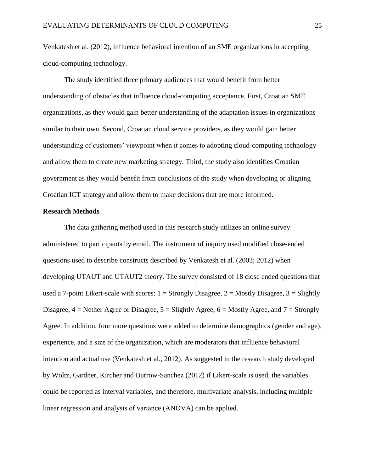Venkatesh et al. (2012), influence behavioral intention of an SME organizations in accepting cloud-computing technology.

The study identified three primary audiences that would benefit from better understanding of obstacles that influence cloud-computing acceptance. First, Croatian SME organizations, as they would gain better understanding of the adaptation issues in organizations similar to their own. Second, Croatian cloud service providers, as they would gain better understanding of customers' viewpoint when it comes to adopting cloud-computing technology and allow them to create new marketing strategy. Third, the study also identifies Croatian government as they would benefit from conclusions of the study when developing or aligning Croatian ICT strategy and allow them to make decisions that are more informed.

#### <span id="page-25-0"></span>**Research Methods**

The data gathering method used in this research study utilizes an online survey administered to participants by email. The instrument of inquiry used modified close-ended questions used to describe constructs described by Venkatesh et al. (2003; 2012) when developing UTAUT and UTAUT2 theory. The survey consisted of 18 close ended questions that used a 7-point Likert-scale with scores:  $1 =$  Strongly Disagree,  $2 =$  Mostly Disagree,  $3 =$  Slightly Disagree,  $4$  = Nether Agree or Disagree,  $5$  = Slightly Agree,  $6$  = Mostly Agree, and  $7$  = Strongly Agree. In addition, four more questions were added to determine demographics (gender and age), experience, and a size of the organization, which are moderators that influence behavioral intention and actual use (Venkatesh et al., 2012). As suggested in the research study developed by Woltz, Gardner, Kircher and Burrow-Sanchez (2012) if Likert-scale is used, the variables could be reported as interval variables, and therefore, multivariate analysis, including multiple linear regression and analysis of variance (ANOVA) can be applied.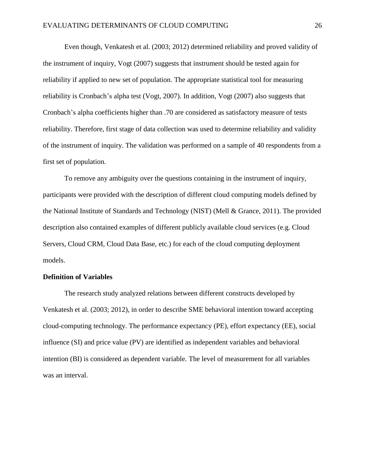Even though, Venkatesh et al. (2003; 2012) determined reliability and proved validity of the instrument of inquiry, Vogt (2007) suggests that instrument should be tested again for reliability if applied to new set of population. The appropriate statistical tool for measuring reliability is Cronbach's alpha test (Vogt, 2007). In addition, Vogt (2007) also suggests that Cronbach's alpha coefficients higher than .70 are considered as satisfactory measure of tests reliability. Therefore, first stage of data collection was used to determine reliability and validity of the instrument of inquiry. The validation was performed on a sample of 40 respondents from a first set of population.

To remove any ambiguity over the questions containing in the instrument of inquiry, participants were provided with the description of different cloud computing models defined by the National Institute of Standards and Technology (NIST) (Mell & Grance, 2011). The provided description also contained examples of different publicly available cloud services (e.g. Cloud Servers, Cloud CRM, Cloud Data Base, etc.) for each of the cloud computing deployment models.

#### <span id="page-26-0"></span>**Definition of Variables**

The research study analyzed relations between different constructs developed by Venkatesh et al. (2003; 2012), in order to describe SME behavioral intention toward accepting cloud-computing technology. The performance expectancy (PE), effort expectancy (EE), social influence (SI) and price value (PV) are identified as independent variables and behavioral intention (BI) is considered as dependent variable. The level of measurement for all variables was an interval.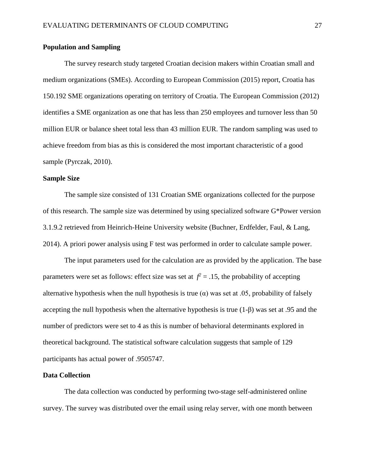#### <span id="page-27-0"></span>**Population and Sampling**

The survey research study targeted Croatian decision makers within Croatian small and medium organizations (SMEs). According to European Commission (2015) report, Croatia has 150.192 SME organizations operating on territory of Croatia. The European Commission (2012) identifies a SME organization as one that has less than 250 employees and turnover less than 50 million EUR or balance sheet total less than 43 million EUR. The random sampling was used to achieve freedom from bias as this is considered the most important characteristic of a good sample (Pyrczak, 2010).

#### <span id="page-27-1"></span>**Sample Size**

The sample size consisted of 131 Croatian SME organizations collected for the purpose of this research. The sample size was determined by using specialized software G\*Power version 3.1.9.2 retrieved from Heinrich-Heine University website (Buchner, Erdfelder, Faul, & Lang, 2014). A priori power analysis using F test was performed in order to calculate sample power.

The input parameters used for the calculation are as provided by the application. The base parameters were set as follows: effect size was set at  $f^2 = .15$ , the probability of accepting alternative hypothesis when the null hypothesis is true  $(\alpha)$  was set at .05, probability of falsely accepting the null hypothesis when the alternative hypothesis is true (1-β) was set at .95 and the number of predictors were set to 4 as this is number of behavioral determinants explored in theoretical background. The statistical software calculation suggests that sample of 129 participants has actual power of .9505747.

#### <span id="page-27-2"></span>**Data Collection**

The data collection was conducted by performing two-stage self-administered online survey. The survey was distributed over the email using relay server, with one month between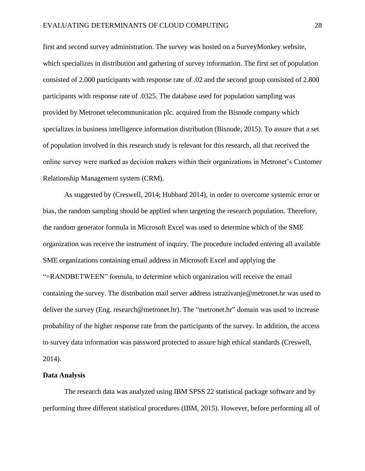first and second survey administration. The survey was hosted on a SurveyMonkey website, which specializes in distribution and gathering of survey information. The first set of population consisted of 2.000 participants with response rate of .02 and the second group consisted of 2.800 participants with response rate of .0325. The database used for population sampling was provided by Metronet telecommunication plc. acquired from the Bisnode company which specializes in business intelligence information distribution (Bisnode, 2015). To assure that a set of population involved in this research study is relevant for this research, all that received the online survey were marked as decision makers within their organizations in Metronet's Customer Relationship Management system (CRM).

As suggested by (Creswell, 2014; Hubbard 2014), in order to overcome systemic error or bias, the random sampling should be applied when targeting the research population. Therefore, the random generator formula in Microsoft Excel was used to determine which of the SME organization was receive the instrument of inquiry. The procedure included entering all available SME organizations containing email address in Microsoft Excel and applying the "=RANDBETWEEN" formula, to determine which organization will receive the email containing the survey. The distribution mail server address istrazivanje@metronet.hr was used to deliver the survey (Eng. research@metronet.hr). The "metronet.hr" domain was used to increase probability of the higher response rate from the participants of the survey. In addition, the access to survey data information was password protected to assure high ethical standards (Creswell, 2014).

#### <span id="page-28-0"></span>**Data Analysis**

The research data was analyzed using IBM SPSS 22 statistical package software and by performing three different statistical procedures (IBM, 2015). However, before performing all of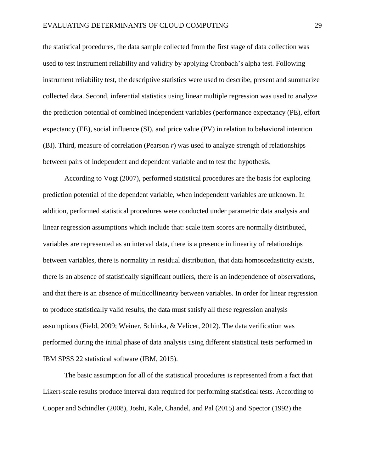the statistical procedures, the data sample collected from the first stage of data collection was used to test instrument reliability and validity by applying Cronbach's alpha test. Following instrument reliability test, the descriptive statistics were used to describe, present and summarize collected data. Second, inferential statistics using linear multiple regression was used to analyze the prediction potential of combined independent variables (performance expectancy (PE), effort expectancy (EE), social influence (SI), and price value (PV) in relation to behavioral intention (BI). Third, measure of correlation (Pearson *r*) was used to analyze strength of relationships between pairs of independent and dependent variable and to test the hypothesis.

According to Vogt (2007), performed statistical procedures are the basis for exploring prediction potential of the dependent variable, when independent variables are unknown. In addition, performed statistical procedures were conducted under parametric data analysis and linear regression assumptions which include that: scale item scores are normally distributed, variables are represented as an interval data, there is a presence in linearity of relationships between variables, there is normality in residual distribution, that data homoscedasticity exists, there is an absence of statistically significant outliers, there is an independence of observations, and that there is an absence of multicollinearity between variables. In order for linear regression to produce statistically valid results, the data must satisfy all these regression analysis assumptions (Field, 2009; Weiner, Schinka, & Velicer, 2012). The data verification was performed during the initial phase of data analysis using different statistical tests performed in IBM SPSS 22 statistical software (IBM, 2015).

The basic assumption for all of the statistical procedures is represented from a fact that Likert-scale results produce interval data required for performing statistical tests. According to Cooper and Schindler (2008), Joshi, Kale, Chandel, and Pal (2015) and Spector (1992) the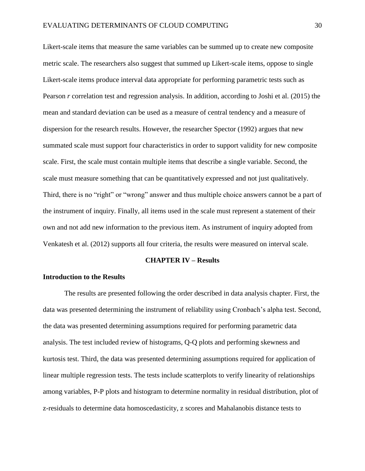Likert-scale items that measure the same variables can be summed up to create new composite metric scale. The researchers also suggest that summed up Likert-scale items, oppose to single Likert-scale items produce interval data appropriate for performing parametric tests such as Pearson *r* correlation test and regression analysis. In addition, according to Joshi et al. (2015) the mean and standard deviation can be used as a measure of central tendency and a measure of dispersion for the research results. However, the researcher Spector (1992) argues that new summated scale must support four characteristics in order to support validity for new composite scale. First, the scale must contain multiple items that describe a single variable. Second, the scale must measure something that can be quantitatively expressed and not just qualitatively. Third, there is no "right" or "wrong" answer and thus multiple choice answers cannot be a part of the instrument of inquiry. Finally, all items used in the scale must represent a statement of their own and not add new information to the previous item. As instrument of inquiry adopted from Venkatesh et al. (2012) supports all four criteria, the results were measured on interval scale.

#### **CHAPTER IV – Results**

#### <span id="page-30-1"></span><span id="page-30-0"></span>**Introduction to the Results**

The results are presented following the order described in data analysis chapter. First, the data was presented determining the instrument of reliability using Cronbach's alpha test. Second, the data was presented determining assumptions required for performing parametric data analysis. The test included review of histograms, Q-Q plots and performing skewness and kurtosis test. Third, the data was presented determining assumptions required for application of linear multiple regression tests. The tests include scatterplots to verify linearity of relationships among variables, P-P plots and histogram to determine normality in residual distribution, plot of z-residuals to determine data homoscedasticity, z scores and Mahalanobis distance tests to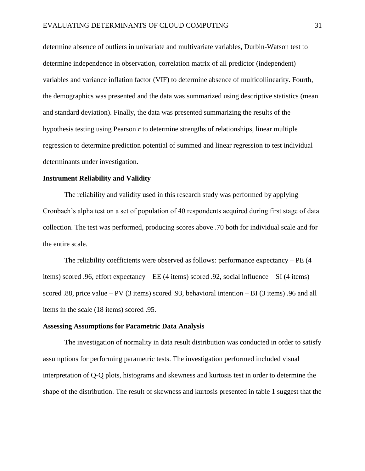determine absence of outliers in univariate and multivariate variables, Durbin-Watson test to determine independence in observation, correlation matrix of all predictor (independent) variables and variance inflation factor (VIF) to determine absence of multicollinearity. Fourth, the demographics was presented and the data was summarized using descriptive statistics (mean and standard deviation). Finally, the data was presented summarizing the results of the hypothesis testing using Pearson *r* to determine strengths of relationships, linear multiple regression to determine prediction potential of summed and linear regression to test individual determinants under investigation.

#### <span id="page-31-0"></span>**Instrument Reliability and Validity**

The reliability and validity used in this research study was performed by applying Cronbach's alpha test on a set of population of 40 respondents acquired during first stage of data collection. The test was performed, producing scores above .70 both for individual scale and for the entire scale.

The reliability coefficients were observed as follows: performance expectancy  $-PE(4)$ items) scored .96, effort expectancy – EE (4 items) scored .92, social influence – SI (4 items) scored .88, price value – PV (3 items) scored .93, behavioral intention – BI (3 items) .96 and all items in the scale (18 items) scored .95.

#### <span id="page-31-1"></span>**Assessing Assumptions for Parametric Data Analysis**

The investigation of normality in data result distribution was conducted in order to satisfy assumptions for performing parametric tests. The investigation performed included visual interpretation of Q-Q plots, histograms and skewness and kurtosis test in order to determine the shape of the distribution. The result of skewness and kurtosis presented in table 1 suggest that the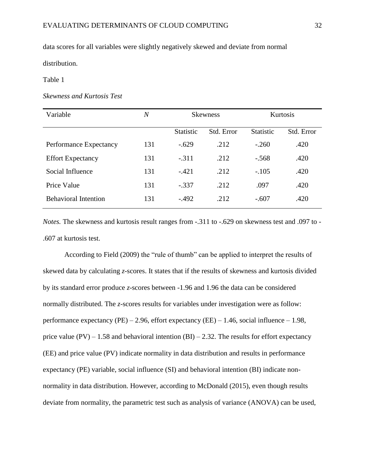data scores for all variables were slightly negatively skewed and deviate from normal

distribution.

#### <span id="page-32-0"></span>Table 1

#### *Skewness and Kurtosis Test*

| Variable                    | N   |                  | <b>Skewness</b> |                  | Kurtosis   |
|-----------------------------|-----|------------------|-----------------|------------------|------------|
|                             |     | <b>Statistic</b> | Std. Error      | <b>Statistic</b> | Std. Error |
| Performance Expectancy      | 131 | $-.629$          | .212            | $-.260$          | .420       |
| <b>Effort Expectancy</b>    | 131 | $-.311$          | .212            | $-.568$          | .420       |
| Social Influence            | 131 | $-.421$          | .212            | $-.105$          | .420       |
| Price Value                 | 131 | $-.337$          | .212            | .097             | .420       |
| <b>Behavioral Intention</b> | 131 | $-.492$          | .212            | $-.607$          | .420       |

*Notes.* The skewness and kurtosis result ranges from -.311 to -.629 on skewness test and .097 to - .607 at kurtosis test.

According to Field (2009) the "rule of thumb" can be applied to interpret the results of skewed data by calculating *z*-scores. It states that if the results of skewness and kurtosis divided by its standard error produce *z*-scores between -1.96 and 1.96 the data can be considered normally distributed. The *z-*scores results for variables under investigation were as follow: performance expectancy (PE) – 2.96, effort expectancy (EE) – 1.46, social influence – 1.98, price value (PV) – 1.58 and behavioral intention (BI) – 2.32. The results for effort expectancy (EE) and price value (PV) indicate normality in data distribution and results in performance expectancy (PE) variable, social influence (SI) and behavioral intention (BI) indicate nonnormality in data distribution. However, according to McDonald (2015), even though results deviate from normality, the parametric test such as analysis of variance (ANOVA) can be used,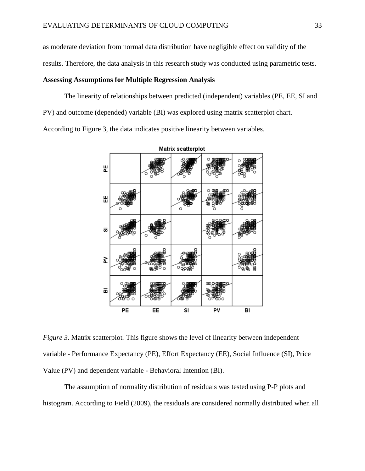as moderate deviation from normal data distribution have negligible effect on validity of the

results. Therefore, the data analysis in this research study was conducted using parametric tests.

#### <span id="page-33-0"></span>**Assessing Assumptions for Multiple Regression Analysis**

The linearity of relationships between predicted (independent) variables (PE, EE, SI and PV) and outcome (depended) variable (BI) was explored using matrix scatterplot chart. According to Figure 3, the data indicates positive linearity between variables.



<span id="page-33-1"></span>*Figure 3.* Matrix scatterplot. This figure shows the level of linearity between independent variable - Performance Expectancy (PE), Effort Expectancy (EE), Social Influence (SI), Price Value (PV) and dependent variable - Behavioral Intention (BI).

The assumption of normality distribution of residuals was tested using P-P plots and histogram. According to Field (2009), the residuals are considered normally distributed when all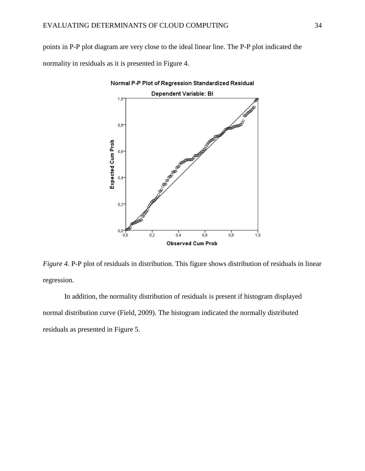points in P-P plot diagram are very close to the ideal linear line. The P-P plot indicated the normality in residuals as it is presented in Figure 4.



Normal P-P Plot of Regression Standardized Residual

<span id="page-34-0"></span>*Figure 4.* P-P plot of residuals in distribution. This figure shows distribution of residuals in linear regression.

In addition, the normality distribution of residuals is present if histogram displayed normal distribution curve (Field, 2009). The histogram indicated the normally distributed residuals as presented in Figure 5.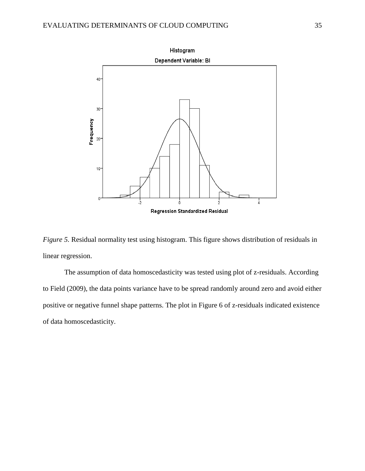

<span id="page-35-0"></span>*Figure 5.* Residual normality test using histogram. This figure shows distribution of residuals in linear regression.

The assumption of data homoscedasticity was tested using plot of z-residuals. According to Field (2009), the data points variance have to be spread randomly around zero and avoid either positive or negative funnel shape patterns. The plot in Figure 6 of z-residuals indicated existence of data homoscedasticity.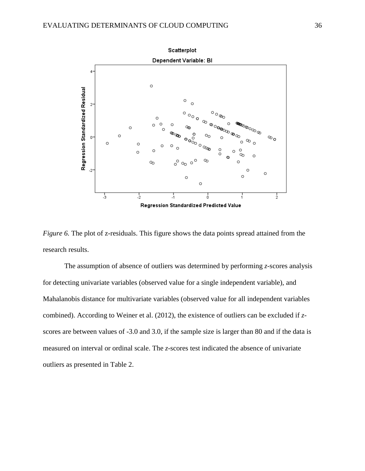

<span id="page-36-0"></span>*Figure 6.* The plot of z-residuals. This figure shows the data points spread attained from the research results.

The assumption of absence of outliers was determined by performing *z*-scores analysis for detecting univariate variables (observed value for a single independent variable), and Mahalanobis distance for multivariate variables (observed value for all independent variables combined). According to Weiner et al. (2012), the existence of outliers can be excluded if *z*scores are between values of -3.0 and 3.0, if the sample size is larger than 80 and if the data is measured on interval or ordinal scale. The *z*-scores test indicated the absence of univariate outliers as presented in Table 2.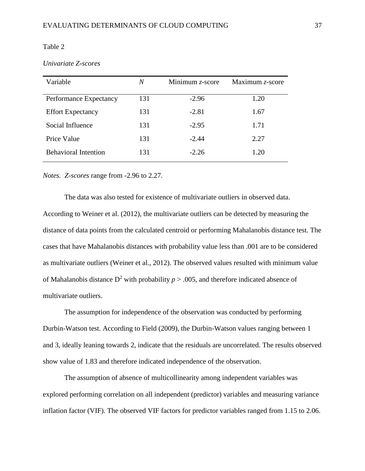#### <span id="page-37-0"></span>Table 2

| Variable                    | N   | Minimum $z$ -score | Maximum z-score |
|-----------------------------|-----|--------------------|-----------------|
| Performance Expectancy      | 131 | $-2.96$            | 1.20            |
| <b>Effort Expectancy</b>    | 131 | $-2.81$            | 1.67            |
| Social Influence            | 131 | $-2.95$            | 1.71            |
| Price Value                 | 131 | $-2.44$            | 2.27            |
| <b>Behavioral Intention</b> | 131 | $-2.26$            | 1.20            |

*Notes. Z-scores* range from -2.96 to 2.27.

The data was also tested for existence of multivariate outliers in observed data. According to Weiner et al. (2012), the multivariate outliers can be detected by measuring the distance of data points from the calculated centroid or performing Mahalanobis distance test. The cases that have Mahalanobis distances with probability value less than .001 are to be considered as multivariate outliers (Weiner et al., 2012). The observed values resulted with minimum value of Mahalanobis distance  $D^2$  with probability  $p > .005$ , and therefore indicated absence of multivariate outliers.

The assumption for independence of the observation was conducted by performing Durbin-Watson test. According to Field (2009), the Durbin-Watson values ranging between 1 and 3, ideally leaning towards 2, indicate that the residuals are uncorrelated. The results observed show value of 1.83 and therefore indicated independence of the observation.

The assumption of absence of multicollinearity among independent variables was explored performing correlation on all independent (predictor) variables and measuring variance inflation factor (VIF). The observed VIF factors for predictor variables ranged from 1.15 to 2.06.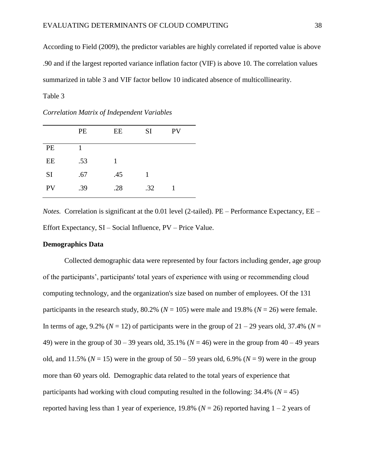According to Field (2009), the predictor variables are highly correlated if reported value is above .90 and if the largest reported variance inflation factor (VIF) is above 10. The correlation values summarized in table 3 and VIF factor bellow 10 indicated absence of multicollinearity.

<span id="page-38-1"></span>Table 3

|           | PE  | EE  | <b>SI</b> | PV |  |
|-----------|-----|-----|-----------|----|--|
| PE        |     |     |           |    |  |
| EE        | .53 | 1   |           |    |  |
| <b>SI</b> | .67 | .45 | 1         |    |  |
| PV        | .39 | .28 | .32       |    |  |

*Correlation Matrix of Independent Variables*

*Notes.* Correlation is significant at the 0.01 level (2-tailed). PE – Performance Expectancy, EE – Effort Expectancy, SI – Social Influence, PV – Price Value.

#### <span id="page-38-0"></span>**Demographics Data**

Collected demographic data were represented by four factors including gender, age group of the participants', participants' total years of experience with using or recommending cloud computing technology, and the organization's size based on number of employees. Of the 131 participants in the research study,  $80.2\%$  ( $N = 105$ ) were male and 19.8% ( $N = 26$ ) were female. In terms of age, 9.2% ( $N = 12$ ) of participants were in the group of  $21 - 29$  years old, 37.4% ( $N =$ 49) were in the group of  $30 - 39$  years old,  $35.1\%$  ( $N = 46$ ) were in the group from  $40 - 49$  years old, and 11.5% ( $N = 15$ ) were in the group of 50 – 59 years old, 6.9% ( $N = 9$ ) were in the group more than 60 years old. Demographic data related to the total years of experience that participants had working with cloud computing resulted in the following:  $34.4\%$  ( $N = 45$ ) reported having less than 1 year of experience, 19.8% ( $N = 26$ ) reported having  $1 - 2$  years of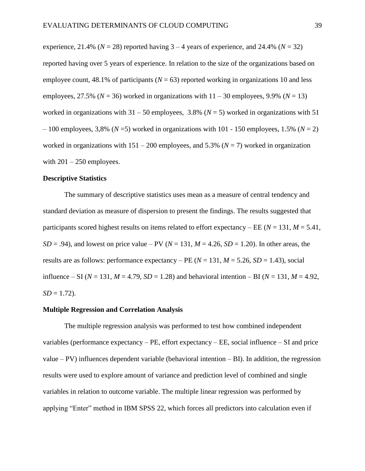experience,  $21.4\%$  ( $N = 28$ ) reported having  $3 - 4$  years of experience, and  $24.4\%$  ( $N = 32$ ) reported having over 5 years of experience. In relation to the size of the organizations based on employee count,  $48.1\%$  of participants ( $N = 63$ ) reported working in organizations 10 and less employees, 27.5% ( $N = 36$ ) worked in organizations with  $11 - 30$  employees, 9.9% ( $N = 13$ ) worked in organizations with  $31 - 50$  employees,  $3.8\%$  ( $N = 5$ ) worked in organizations with 51  $-100$  employees, 3,8% ( $N=5$ ) worked in organizations with 101 - 150 employees, 1.5% ( $N=2$ ) worked in organizations with  $151 - 200$  employees, and  $5.3\%$  ( $N = 7$ ) worked in organization with  $201 - 250$  employees.

#### <span id="page-39-0"></span>**Descriptive Statistics**

The summary of descriptive statistics uses mean as a measure of central tendency and standard deviation as measure of dispersion to present the findings. The results suggested that participants scored highest results on items related to effort expectancy – EE ( $N = 131$ ,  $M = 5.41$ ,  $SD = .94$ ), and lowest on price value – PV ( $N = 131$ ,  $M = 4.26$ ,  $SD = 1.20$ ). In other areas, the results are as follows: performance expectancy – PE  $(N = 131, M = 5.26, SD = 1.43)$ , social influence – SI ( $N = 131$ ,  $M = 4.79$ ,  $SD = 1.28$ ) and behavioral intention – BI ( $N = 131$ ,  $M = 4.92$ ,  $SD = 1.72$ ).

#### <span id="page-39-1"></span>**Multiple Regression and Correlation Analysis**

The multiple regression analysis was performed to test how combined independent variables (performance expectancy – PE, effort expectancy – EE, social influence – SI and price value  $- PV$ ) influences dependent variable (behavioral intention  $- BI$ ). In addition, the regression results were used to explore amount of variance and prediction level of combined and single variables in relation to outcome variable. The multiple linear regression was performed by applying "Enter" method in IBM SPSS 22, which forces all predictors into calculation even if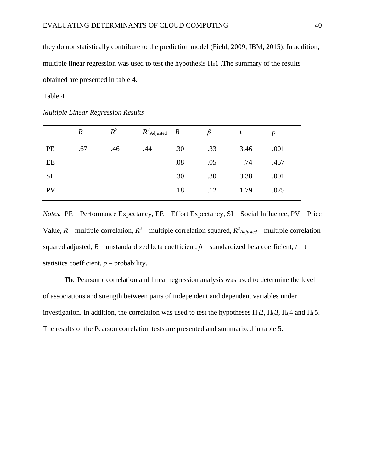they do not statistically contribute to the prediction model (Field, 2009; IBM, 2015). In addition, multiple linear regression was used to test the hypothesis  $H<sub>0</sub>1$ . The summary of the results obtained are presented in table 4.

<span id="page-40-0"></span>Table 4

*Multiple Linear Regression Results*

|           | $\boldsymbol{R}$ | $R^2$ | $R^2$ Adjusted $B$ |     |     | t    | p    |
|-----------|------------------|-------|--------------------|-----|-----|------|------|
| PE        | .67              | .46   | .44                | .30 | .33 | 3.46 | .001 |
| EE        |                  |       |                    | .08 | .05 | .74  | .457 |
| <b>SI</b> |                  |       |                    | .30 | .30 | 3.38 | .001 |
| PV        |                  |       |                    | .18 | .12 | 1.79 | .075 |
|           |                  |       |                    |     |     |      |      |

*Notes.* PE – Performance Expectancy, EE – Effort Expectancy, SI – Social Influence, PV – Price Value, *R* – multiple correlation,  $R^2$  – multiple correlation squared,  $R^2$ <sub>*Adjusted*</sub> – multiple correlation squared adjusted,  $B$  – unstandardized beta coefficient,  $\beta$  – standardized beta coefficient,  $t$  – t statistics coefficient,  $p$  – probability.

The Pearson *r* correlation and linear regression analysis was used to determine the level of associations and strength between pairs of independent and dependent variables under investigation. In addition, the correlation was used to test the hypotheses  $H<sub>0</sub>2$ ,  $H<sub>0</sub>3$ ,  $H<sub>0</sub>4$  and  $H<sub>0</sub>5$ . The results of the Pearson correlation tests are presented and summarized in table 5.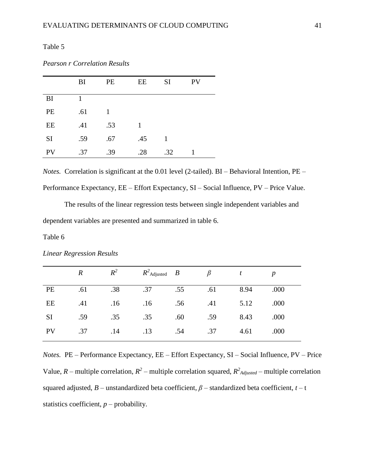<span id="page-41-0"></span>Table 5

*Pearson r Correlation Results*

|           | BI  | <b>PE</b> | EE  | <b>SI</b> | <b>PV</b> |
|-----------|-----|-----------|-----|-----------|-----------|
| BI        | 1   |           |     |           |           |
| PE        | .61 | 1         |     |           |           |
| EE        | .41 | .53       |     |           |           |
| <b>SI</b> | .59 | .67       | .45 | 1         |           |
| <b>PV</b> | .37 | .39       | .28 | .32       |           |

*Notes.* Correlation is significant at the 0.01 level (2-tailed). BI – Behavioral Intention, PE – Performance Expectancy, EE – Effort Expectancy, SI – Social Influence, PV – Price Value.

The results of the linear regression tests between single independent variables and dependent variables are presented and summarized in table 6.

<span id="page-41-1"></span>Table 6

|           | $\boldsymbol{R}$ | $R^2$ | $R^2$ Adjusted $B$ |     | B   |      | $\boldsymbol{p}$ |
|-----------|------------------|-------|--------------------|-----|-----|------|------------------|
| PE        | .61              | .38   | .37                | .55 | .61 | 8.94 | .000             |
| EE        | .41              | .16   | .16                | .56 | .41 | 5.12 | .000             |
| SI        | .59              | .35   | .35                | .60 | .59 | 8.43 | .000             |
| <b>PV</b> | .37              | .14   | .13                | .54 | .37 | 4.61 | .000             |

*Linear Regression Results*

*Notes.* PE – Performance Expectancy, EE – Effort Expectancy, SI – Social Influence, PV – Price Value,  $R$  – multiple correlation,  $R^2$  – multiple correlation squared,  $R^2$ <sub>*Adjusted*</sub> – multiple correlation squared adjusted,  $B$  – unstandardized beta coefficient,  $\beta$  – standardized beta coefficient,  $t$  – t statistics coefficient,  $p$  – probability.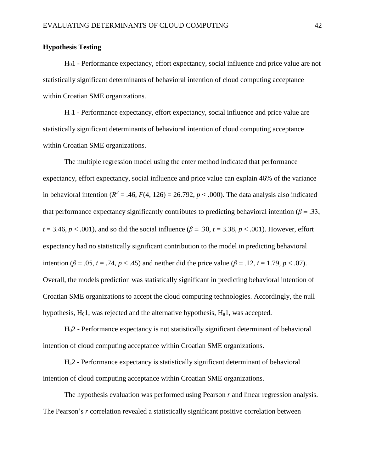#### <span id="page-42-0"></span>**Hypothesis Testing**

H01 - Performance expectancy, effort expectancy, social influence and price value are not statistically significant determinants of behavioral intention of cloud computing acceptance within Croatian SME organizations.

Ha1 - Performance expectancy, effort expectancy, social influence and price value are statistically significant determinants of behavioral intention of cloud computing acceptance within Croatian SME organizations.

The multiple regression model using the enter method indicated that performance expectancy, effort expectancy, social influence and price value can explain 46% of the variance in behavioral intention ( $R^2 = .46$ ,  $F(4, 126) = 26.792$ ,  $p < .000$ ). The data analysis also indicated that performance expectancy significantly contributes to predicting behavioral intention ( $\beta$  = .33,  $t = 3.46$ ,  $p < .001$ ), and so did the social influence ( $\beta = .30$ ,  $t = 3.38$ ,  $p < .001$ ). However, effort expectancy had no statistically significant contribution to the model in predicting behavioral intention (*β* = .05, *t* = .74, *p* < .45) and neither did the price value (*β* = .12, *t* = 1.79, *p* < .07). Overall, the models prediction was statistically significant in predicting behavioral intention of Croatian SME organizations to accept the cloud computing technologies. Accordingly, the null hypothesis,  $H_01$ , was rejected and the alternative hypothesis,  $H_a1$ , was accepted.

H02 - Performance expectancy is not statistically significant determinant of behavioral intention of cloud computing acceptance within Croatian SME organizations.

Ha2 - Performance expectancy is statistically significant determinant of behavioral intention of cloud computing acceptance within Croatian SME organizations.

The hypothesis evaluation was performed using Pearson *r* and linear regression analysis. The Pearson's *r* correlation revealed a statistically significant positive correlation between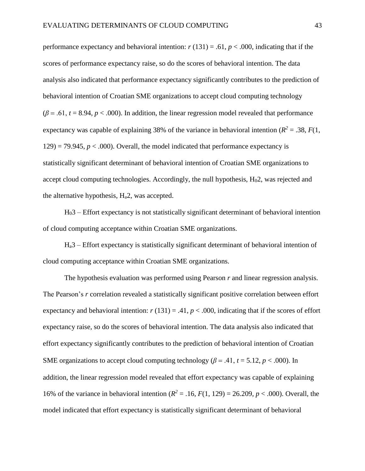performance expectancy and behavioral intention:  $r(131) = .61$ ,  $p < .000$ , indicating that if the scores of performance expectancy raise, so do the scores of behavioral intention. The data analysis also indicated that performance expectancy significantly contributes to the prediction of behavioral intention of Croatian SME organizations to accept cloud computing technology  $(\beta = .61, t = 8.94, p < .000)$ . In addition, the linear regression model revealed that performance expectancy was capable of explaining 38% of the variance in behavioral intention ( $R^2 = .38$ ,  $F(1)$ ,  $129$ ) = 79.945,  $p < .000$ ). Overall, the model indicated that performance expectancy is statistically significant determinant of behavioral intention of Croatian SME organizations to accept cloud computing technologies. Accordingly, the null hypothesis,  $H<sub>0</sub>2$ , was rejected and the alternative hypothesis,  $H_a2$ , was accepted.

H03 – Effort expectancy is not statistically significant determinant of behavioral intention of cloud computing acceptance within Croatian SME organizations.

Ha3 – Effort expectancy is statistically significant determinant of behavioral intention of cloud computing acceptance within Croatian SME organizations.

The hypothesis evaluation was performed using Pearson *r* and linear regression analysis. The Pearson's *r* correlation revealed a statistically significant positive correlation between effort expectancy and behavioral intention:  $r(131) = .41$ ,  $p < .000$ , indicating that if the scores of effort expectancy raise, so do the scores of behavioral intention. The data analysis also indicated that effort expectancy significantly contributes to the prediction of behavioral intention of Croatian SME organizations to accept cloud computing technology ( $\beta$  = .41,  $t$  = 5.12,  $p$  < .000). In addition, the linear regression model revealed that effort expectancy was capable of explaining 16% of the variance in behavioral intention ( $R^2 = .16$ ,  $F(1, 129) = 26.209$ ,  $p < .000$ ). Overall, the model indicated that effort expectancy is statistically significant determinant of behavioral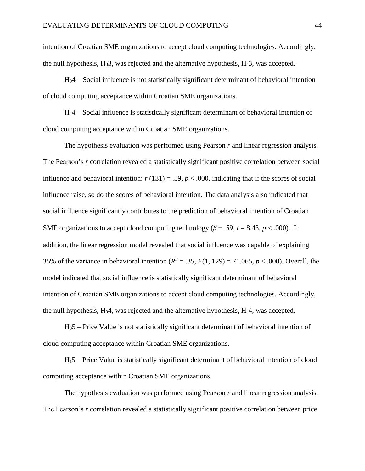intention of Croatian SME organizations to accept cloud computing technologies. Accordingly, the null hypothesis,  $H_03$ , was rejected and the alternative hypothesis,  $H_a3$ , was accepted.

 $H<sub>0</sub>4$  – Social influence is not statistically significant determinant of behavioral intention of cloud computing acceptance within Croatian SME organizations.

Ha4 – Social influence is statistically significant determinant of behavioral intention of cloud computing acceptance within Croatian SME organizations.

The hypothesis evaluation was performed using Pearson *r* and linear regression analysis. The Pearson's *r* correlation revealed a statistically significant positive correlation between social influence and behavioral intention:  $r(131) = .59$ ,  $p < .000$ , indicating that if the scores of social influence raise, so do the scores of behavioral intention. The data analysis also indicated that social influence significantly contributes to the prediction of behavioral intention of Croatian SME organizations to accept cloud computing technology ( $\beta$  = .59,  $t$  = 8.43,  $p$  < .000). In addition, the linear regression model revealed that social influence was capable of explaining 35% of the variance in behavioral intention ( $R^2 = .35$ ,  $F(1, 129) = 71.065$ ,  $p < .000$ ). Overall, the model indicated that social influence is statistically significant determinant of behavioral intention of Croatian SME organizations to accept cloud computing technologies. Accordingly, the null hypothesis,  $H_04$ , was rejected and the alternative hypothesis,  $H_a4$ , was accepted.

H05 – Price Value is not statistically significant determinant of behavioral intention of cloud computing acceptance within Croatian SME organizations.

Ha5 – Price Value is statistically significant determinant of behavioral intention of cloud computing acceptance within Croatian SME organizations.

The hypothesis evaluation was performed using Pearson *r* and linear regression analysis. The Pearson's *r* correlation revealed a statistically significant positive correlation between price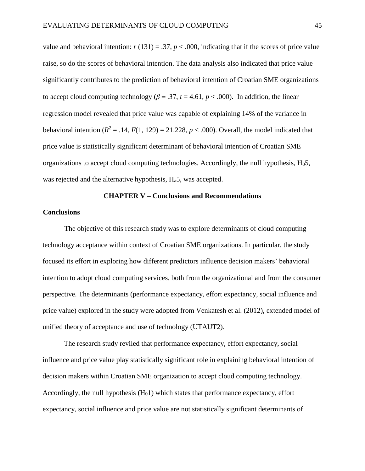value and behavioral intention:  $r(131) = .37$ ,  $p < .000$ , indicating that if the scores of price value raise, so do the scores of behavioral intention. The data analysis also indicated that price value significantly contributes to the prediction of behavioral intention of Croatian SME organizations to accept cloud computing technology ( $\beta = .37$ ,  $t = 4.61$ ,  $p < .000$ ). In addition, the linear regression model revealed that price value was capable of explaining 14% of the variance in behavioral intention  $(R^2 = .14, F(1, 129) = 21.228, p < .000)$ . Overall, the model indicated that price value is statistically significant determinant of behavioral intention of Croatian SME organizations to accept cloud computing technologies. Accordingly, the null hypothesis,  $H<sub>0</sub>5$ , was rejected and the alternative hypothesis, H<sub>a</sub>5, was accepted.

#### **CHAPTER V – Conclusions and Recommendations**

#### <span id="page-45-1"></span><span id="page-45-0"></span>**Conclusions**

The objective of this research study was to explore determinants of cloud computing technology acceptance within context of Croatian SME organizations. In particular, the study focused its effort in exploring how different predictors influence decision makers' behavioral intention to adopt cloud computing services, both from the organizational and from the consumer perspective. The determinants (performance expectancy, effort expectancy, social influence and price value) explored in the study were adopted from Venkatesh et al. (2012), extended model of unified theory of acceptance and use of technology (UTAUT2).

The research study reviled that performance expectancy, effort expectancy, social influence and price value play statistically significant role in explaining behavioral intention of decision makers within Croatian SME organization to accept cloud computing technology. Accordingly, the null hypothesis  $(H<sub>0</sub>1)$  which states that performance expectancy, effort expectancy, social influence and price value are not statistically significant determinants of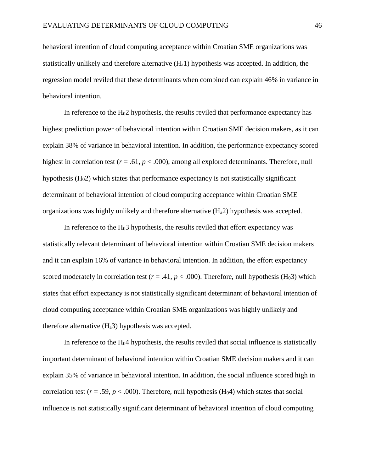behavioral intention of cloud computing acceptance within Croatian SME organizations was statistically unlikely and therefore alternative  $(H_a1)$  hypothesis was accepted. In addition, the regression model reviled that these determinants when combined can explain 46% in variance in behavioral intention.

In reference to the  $H<sub>0</sub>2$  hypothesis, the results reviled that performance expectancy has highest prediction power of behavioral intention within Croatian SME decision makers, as it can explain 38% of variance in behavioral intention. In addition, the performance expectancy scored highest in correlation test ( $r = .61$ ,  $p < .000$ ), among all explored determinants. Therefore, null hypothesis  $(H<sub>0</sub>2)$  which states that performance expectancy is not statistically significant determinant of behavioral intention of cloud computing acceptance within Croatian SME organizations was highly unlikely and therefore alternative  $(H_a 2)$  hypothesis was accepted.

In reference to the  $H<sub>0</sub>3$  hypothesis, the results reviled that effort expectancy was statistically relevant determinant of behavioral intention within Croatian SME decision makers and it can explain 16% of variance in behavioral intention. In addition, the effort expectancy scored moderately in correlation test ( $r = .41$ ,  $p < .000$ ). Therefore, null hypothesis (H<sub>0</sub>3) which states that effort expectancy is not statistically significant determinant of behavioral intention of cloud computing acceptance within Croatian SME organizations was highly unlikely and therefore alternative  $(H_a3)$  hypothesis was accepted.

In reference to the  $H<sub>0</sub>4$  hypothesis, the results reviled that social influence is statistically important determinant of behavioral intention within Croatian SME decision makers and it can explain 35% of variance in behavioral intention. In addition, the social influence scored high in correlation test ( $r = .59$ ,  $p < .000$ ). Therefore, null hypothesis (H<sub>0</sub>4) which states that social influence is not statistically significant determinant of behavioral intention of cloud computing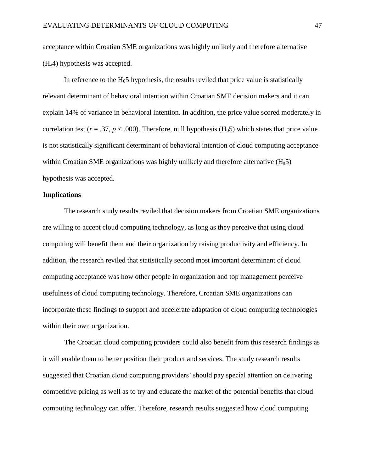acceptance within Croatian SME organizations was highly unlikely and therefore alternative (Ha4) hypothesis was accepted.

In reference to the  $H<sub>0</sub>5$  hypothesis, the results reviled that price value is statistically relevant determinant of behavioral intention within Croatian SME decision makers and it can explain 14% of variance in behavioral intention. In addition, the price value scored moderately in correlation test ( $r = .37$ ,  $p < .000$ ). Therefore, null hypothesis (H<sub>0</sub>5) which states that price value is not statistically significant determinant of behavioral intention of cloud computing acceptance within Croatian SME organizations was highly unlikely and therefore alternative  $(H_a 5)$ hypothesis was accepted.

#### <span id="page-47-0"></span>**Implications**

The research study results reviled that decision makers from Croatian SME organizations are willing to accept cloud computing technology, as long as they perceive that using cloud computing will benefit them and their organization by raising productivity and efficiency. In addition, the research reviled that statistically second most important determinant of cloud computing acceptance was how other people in organization and top management perceive usefulness of cloud computing technology. Therefore, Croatian SME organizations can incorporate these findings to support and accelerate adaptation of cloud computing technologies within their own organization.

The Croatian cloud computing providers could also benefit from this research findings as it will enable them to better position their product and services. The study research results suggested that Croatian cloud computing providers' should pay special attention on delivering competitive pricing as well as to try and educate the market of the potential benefits that cloud computing technology can offer. Therefore, research results suggested how cloud computing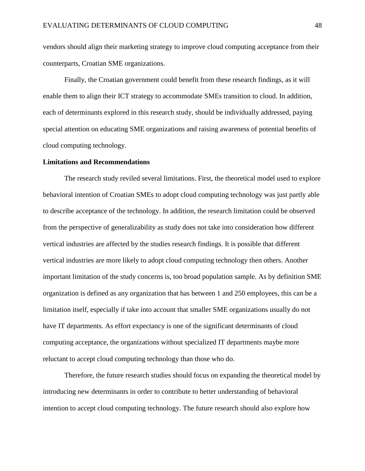vendors should align their marketing strategy to improve cloud computing acceptance from their counterparts, Croatian SME organizations.

Finally, the Croatian government could benefit from these research findings, as it will enable them to align their ICT strategy to accommodate SMEs transition to cloud. In addition, each of determinants explored in this research study, should be individually addressed, paying special attention on educating SME organizations and raising awareness of potential benefits of cloud computing technology.

#### <span id="page-48-0"></span>**Limitations and Recommendations**

The research study reviled several limitations. First, the theoretical model used to explore behavioral intention of Croatian SMEs to adopt cloud computing technology was just partly able to describe acceptance of the technology. In addition, the research limitation could be observed from the perspective of generalizability as study does not take into consideration how different vertical industries are affected by the studies research findings. It is possible that different vertical industries are more likely to adopt cloud computing technology then others. Another important limitation of the study concerns is, too broad population sample. As by definition SME organization is defined as any organization that has between 1 and 250 employees, this can be a limitation itself, especially if take into account that smaller SME organizations usually do not have IT departments. As effort expectancy is one of the significant determinants of cloud computing acceptance, the organizations without specialized IT departments maybe more reluctant to accept cloud computing technology than those who do.

Therefore, the future research studies should focus on expanding the theoretical model by introducing new determinants in order to contribute to better understanding of behavioral intention to accept cloud computing technology. The future research should also explore how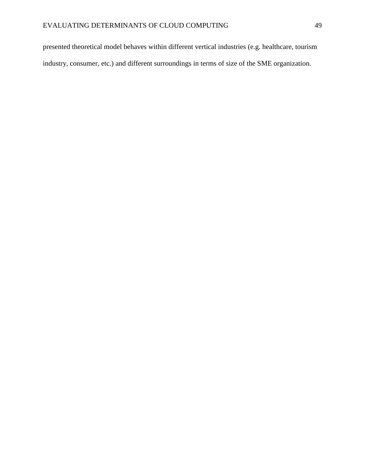presented theoretical model behaves within different vertical industries (e.g. healthcare, tourism industry, consumer, etc.) and different surroundings in terms of size of the SME organization.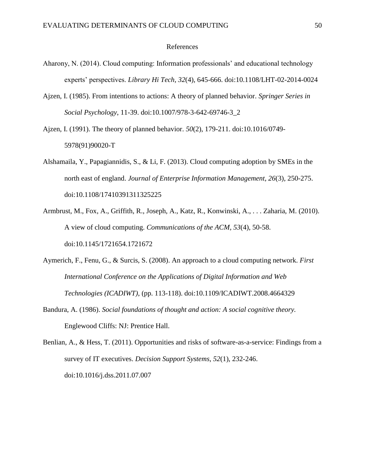#### References

- <span id="page-50-0"></span>Aharony, N. (2014). Cloud computing: Information professionals' and educational technology experts' perspectives. *Library Hi Tech, 32*(4), 645-666. doi:10.1108/LHT-02-2014-0024
- Ajzen, I. (1985). From intentions to actions: A theory of planned behavior. *Springer Series in Social Psychology*, 11-39. doi:10.1007/978-3-642-69746-3\_2
- Ajzen, I. (1991). The theory of planned behavior. *50*(2), 179-211. doi:10.1016/0749- 5978(91)90020-T
- Alshamaila, Y., Papagiannidis, S., & Li, F. (2013). Cloud computing adoption by SMEs in the north east of england. *Journal of Enterprise Information Management, 26*(3), 250-275. doi:10.1108/17410391311325225
- Armbrust, M., Fox, A., Griffith, R., Joseph, A., Katz, R., Konwinski, A., . . . Zaharia, M. (2010). A view of cloud computing. *Communications of the ACM, 53*(4), 50-58. doi:10.1145/1721654.1721672
- Aymerich, F., Fenu, G., & Surcis, S. (2008). An approach to a cloud computing network. *First International Conference on the Applications of Digital Information and Web Technologies (ICADIWT)*, (pp. 113-118). doi:10.1109/ICADIWT.2008.4664329
- Bandura, A. (1986). *Social foundations of thought and action: A social cognitive theory.* Englewood Cliffs: NJ: Prentice Hall.

Benlian, A., & Hess, T. (2011). Opportunities and risks of software-as-a-service: Findings from a survey of IT executives. *Decision Support Systems, 52*(1), 232-246. doi:10.1016/j.dss.2011.07.007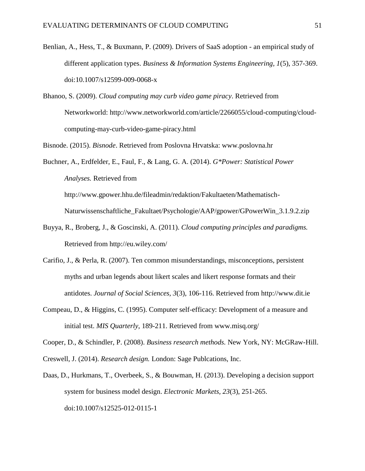- Benlian, A., Hess, T., & Buxmann, P. (2009). Drivers of SaaS adoption an empirical study of different application types. *Business & Information Systems Engineering, 1*(5), 357-369. doi:10.1007/s12599-009-0068-x
- Bhanoo, S. (2009). *Cloud computing may curb video game piracy*. Retrieved from Networkworld: http://www.networkworld.com/article/2266055/cloud-computing/cloudcomputing-may-curb-video-game-piracy.html

Bisnode. (2015). *Bisnode*. Retrieved from Poslovna Hrvatska: www.poslovna.hr

Buchner, A., Erdfelder, E., Faul, F., & Lang, G. A. (2014). *G\*Power: Statistical Power Analyses.* Retrieved from

http://www.gpower.hhu.de/fileadmin/redaktion/Fakultaeten/Mathematisch-Naturwissenschaftliche\_Fakultaet/Psychologie/AAP/gpower/GPowerWin\_3.1.9.2.zip

- Buyya, R., Broberg, J., & Goscinski, A. (2011). *Cloud computing principles and paradigms.* Retrieved from http://eu.wiley.com/
- Carifio, J., & Perla, R. (2007). Ten common misunderstandings, misconceptions, persistent myths and urban legends about likert scales and likert response formats and their antidotes. *Journal of Social Sciences, 3*(3), 106-116. Retrieved from http://www.dit.ie
- Compeau, D., & Higgins, C. (1995). Computer self-efficacy: Development of a measure and initial test. *MIS Quarterly*, 189-211. Retrieved from www.misq.org/

Cooper, D., & Schindler, P. (2008). *Business research methods.* New York, NY: McGRaw-Hill.

Creswell, J. (2014). *Research design.* London: Sage Publcations, Inc.

Daas, D., Hurkmans, T., Overbeek, S., & Bouwman, H. (2013). Developing a decision support system for business model design. *Electronic Markets, 23*(3), 251-265. doi:10.1007/s12525-012-0115-1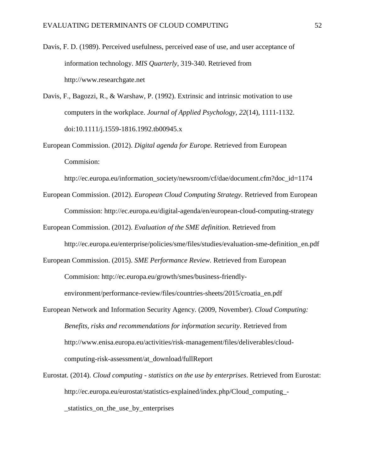- Davis, F. D. (1989). Perceived usefulness, perceived ease of use, and user acceptance of information technology. *MIS Quarterly*, 319-340. Retrieved from http://www.researchgate.net
- Davis, F., Bagozzi, R., & Warshaw, P. (1992). Extrinsic and intrinsic motivation to use computers in the workplace. *Journal of Applied Psychology, 22*(14), 1111-1132. doi:10.1111/j.1559-1816.1992.tb00945.x
- European Commission. (2012). *Digital agenda for Europe.* Retrieved from European Commision:

http://ec.europa.eu/information\_society/newsroom/cf/dae/document.cfm?doc\_id=1174

- European Commission. (2012). *European Cloud Computing Strategy.* Retrieved from European Commission: http://ec.europa.eu/digital-agenda/en/european-cloud-computing-strategy
- European Commission. (2012). *Evaluation of the SME definition.* Retrieved from http://ec.europa.eu/enterprise/policies/sme/files/studies/evaluation-sme-definition\_en.pdf
- European Commission. (2015). *SME Performance Review.* Retrieved from European Commision: http://ec.europa.eu/growth/smes/business-friendly-

environment/performance-review/files/countries-sheets/2015/croatia\_en.pdf

- European Network and Information Security Agency. (2009, November). *Cloud Computing: Benefits, risks and recommendations for information security*. Retrieved from http://www.enisa.europa.eu/activities/risk-management/files/deliverables/cloudcomputing-risk-assessment/at\_download/fullReport
- Eurostat. (2014). *Cloud computing - statistics on the use by enterprises*. Retrieved from Eurostat: http://ec.europa.eu/eurostat/statistics-explained/index.php/Cloud\_computing\_- \_statistics\_on\_the\_use\_by\_enterprises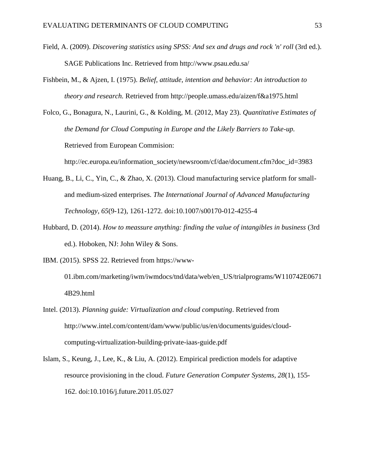- Field, A. (2009). *Discovering statistics using SPSS*: And sex and drugs and rock 'n' roll (3rd ed.). SAGE Publications Inc. Retrieved from http://www.psau.edu.sa/
- Fishbein, M., & Ajzen, I. (1975). *Belief, attitude, intention and behavior: An introduction to theory and research.* Retrieved from http://people.umass.edu/aizen/f&a1975.html
- Folco, G., Bonagura, N., Laurini, G., & Kolding, M. (2012, May 23). *Quantitative Estimates of the Demand for Cloud Computing in Europe and the Likely Barriers to Take-up.* Retrieved from European Commision:

http://ec.europa.eu/information\_society/newsroom/cf/dae/document.cfm?doc\_id=3983

- Huang, B., Li, C., Yin, C., & Zhao, X. (2013). Cloud manufacturing service platform for smalland medium-sized enterprises. *The International Journal of Advanced Manufacturing Technology, 65*(9-12), 1261-1272. doi:10.1007/s00170-012-4255-4
- Hubbard, D. (2014). *How to meassure anything: finding the value of intangibles in business* (3rd ed.). Hoboken, NJ: John Wiley & Sons.
- IBM. (2015). SPSS 22. Retrieved from https://www-

01.ibm.com/marketing/iwm/iwmdocs/tnd/data/web/en\_US/trialprograms/W110742E0671 4B29.html

- Intel. (2013). *Planning guide: Virtualization and cloud computing*. Retrieved from http://www.intel.com/content/dam/www/public/us/en/documents/guides/cloudcomputing-virtualization-building-private-iaas-guide.pdf
- Islam, S., Keung, J., Lee, K., & Liu, A. (2012). Empirical prediction models for adaptive resource provisioning in the cloud. *Future Generation Computer Systems, 28*(1), 155- 162. doi:10.1016/j.future.2011.05.027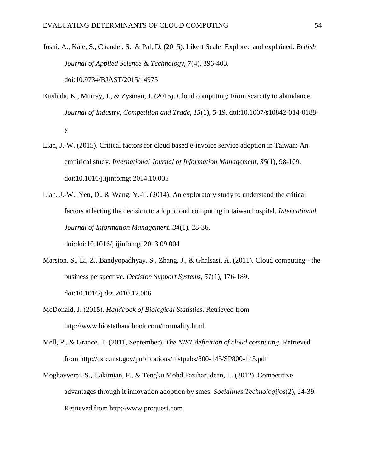- Joshi, A., Kale, S., Chandel, S., & Pal, D. (2015). Likert Scale: Explored and explained. *British Journal of Applied Science & Technology, 7*(4), 396-403. doi:10.9734/BJAST/2015/14975
- Kushida, K., Murray, J., & Zysman, J. (2015). Cloud computing: From scarcity to abundance. *Journal of Industry, Competition and Trade, 15*(1), 5-19. doi:10.1007/s10842-014-0188 y
- Lian, J.-W. (2015). Critical factors for cloud based e-invoice service adoption in Taiwan: An empirical study. *International Journal of Information Management, 35*(1), 98-109. doi:10.1016/j.ijinfomgt.2014.10.005
- Lian, J.-W., Yen, D., & Wang, Y.-T. (2014). An exploratory study to understand the critical factors affecting the decision to adopt cloud computing in taiwan hospital. *International Journal of Information Management, 34*(1), 28-36.

doi:doi:10.1016/j.ijinfomgt.2013.09.004

- Marston, S., Li, Z., Bandyopadhyay, S., Zhang, J., & Ghalsasi, A. (2011). Cloud computing the business perspective. *Decision Support Systems, 51*(1), 176-189. doi:10.1016/j.dss.2010.12.006
- McDonald, J. (2015). *Handbook of Biological Statistics*. Retrieved from http://www.biostathandbook.com/normality.html
- Mell, P., & Grance, T. (2011, September). *The NIST definition of cloud computing.* Retrieved from http://csrc.nist.gov/publications/nistpubs/800-145/SP800-145.pdf
- Moghavvemi, S., Hakimian, F., & Tengku Mohd Faziharudean, T. (2012). Competitive advantages through it innovation adoption by smes. *Socialines Technologijos*(2), 24-39. Retrieved from http://www.proquest.com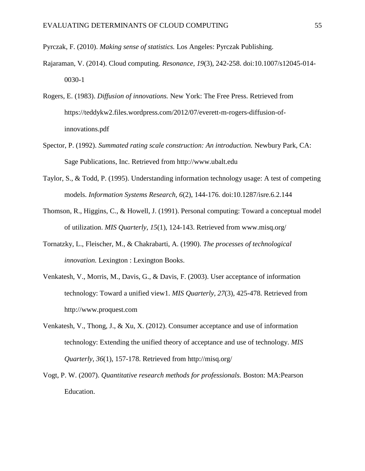Pyrczak, F. (2010). *Making sense of statistics.* Los Angeles: Pyrczak Publishing.

- Rajaraman, V. (2014). Cloud computing. *Resonance, 19*(3), 242-258. doi:10.1007/s12045-014- 0030-1
- Rogers, E. (1983). *Diffusion of innovations.* New York: The Free Press. Retrieved from https://teddykw2.files.wordpress.com/2012/07/everett-m-rogers-diffusion-ofinnovations.pdf
- Spector, P. (1992). *Summated rating scale construction: An introduction.* Newbury Park, CA: Sage Publications, Inc. Retrieved from http://www.ubalt.edu
- Taylor, S., & Todd, P. (1995). Understanding information technology usage: A test of competing models. *Information Systems Research, 6*(2), 144-176. doi:10.1287/isre.6.2.144
- Thomson, R., Higgins, C., & Howell, J. (1991). Personal computing: Toward a conceptual model of utilization. *MIS Quarterly, 15*(1), 124-143. Retrieved from www.misq.org/
- Tornatzky, L., Fleischer, M., & Chakrabarti, A. (1990). *The processes of technological innovation.* Lexington : Lexington Books.
- Venkatesh, V., Morris, M., Davis, G., & Davis, F. (2003). User acceptance of information technology: Toward a unified view1. *MIS Quarterly, 27*(3), 425-478. Retrieved from http://www.proquest.com
- Venkatesh, V., Thong, J., & Xu, X. (2012). Consumer acceptance and use of information technology: Extending the unified theory of acceptance and use of technology. *MIS Quarterly, 36*(1), 157-178. Retrieved from http://misq.org/
- Vogt, P. W. (2007). *Quantitative research methods for professionals.* Boston: MA:Pearson Education.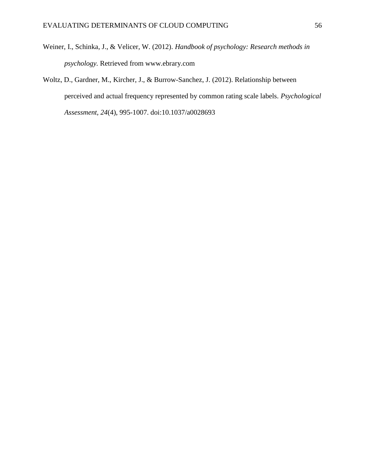- Weiner, I., Schinka, J., & Velicer, W. (2012). *Handbook of psychology: Research methods in psychology.* Retrieved from www.ebrary.com
- Woltz, D., Gardner, M., Kircher, J., & Burrow-Sanchez, J. (2012). Relationship between perceived and actual frequency represented by common rating scale labels. *Psychological Assessment, 24*(4), 995-1007. doi:10.1037/a0028693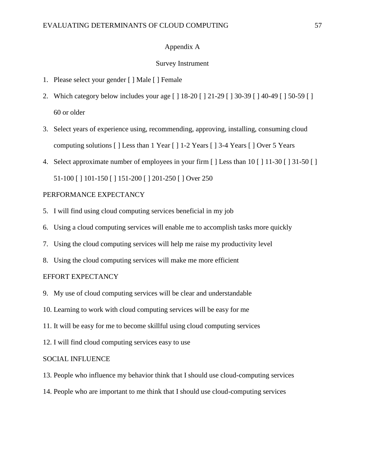#### Appendix A

#### Survey Instrument

- <span id="page-57-0"></span>1. Please select your gender [ ] Male [ ] Female
- 2. Which category below includes your age [ ] 18-20 [ ] 21-29 [ ] 30-39 [ ] 40-49 [ ] 50-59 [ ] 60 or older
- 3. Select years of experience using, recommending, approving, installing, consuming cloud computing solutions [ ] Less than 1 Year [ ] 1-2 Years [ ] 3-4 Years [ ] Over 5 Years
- 4. Select approximate number of employees in your firm [ ] Less than 10 [ ] 11-30 [ ] 31-50 [ ]

51-100 [ ] 101-150 [ ] 151-200 [ ] 201-250 [ ] Over 250

#### PERFORMANCE EXPECTANCY

- 5. I will find using cloud computing services beneficial in my job
- 6. Using a cloud computing services will enable me to accomplish tasks more quickly
- 7. Using the cloud computing services will help me raise my productivity level
- 8. Using the cloud computing services will make me more efficient

#### EFFORT EXPECTANCY

- 9. My use of cloud computing services will be clear and understandable
- 10. Learning to work with cloud computing services will be easy for me
- 11. It will be easy for me to become skillful using cloud computing services
- 12. I will find cloud computing services easy to use

#### SOCIAL INFLUENCE

- 13. People who influence my behavior think that I should use cloud-computing services
- 14. People who are important to me think that I should use cloud-computing services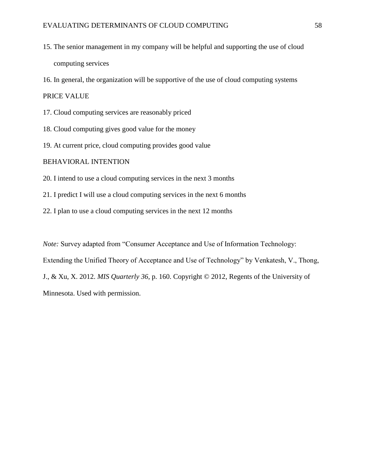- 15. The senior management in my company will be helpful and supporting the use of cloud computing services
- 16. In general, the organization will be supportive of the use of cloud computing systems

PRICE VALUE

- 17. Cloud computing services are reasonably priced
- 18. Cloud computing gives good value for the money
- 19. At current price, cloud computing provides good value

#### BEHAVIORAL INTENTION

- 20. I intend to use a cloud computing services in the next 3 months
- 21. I predict I will use a cloud computing services in the next 6 months
- 22. I plan to use a cloud computing services in the next 12 months

*Note:* Survey adapted from "Consumer Acceptance and Use of Information Technology: Extending the Unified Theory of Acceptance and Use of Technology" by Venkatesh, V., Thong, J., & Xu, X. 2012. *MIS Quarterly 36*, p. 160. Copyright © 2012, Regents of the University of Minnesota. Used with permission.